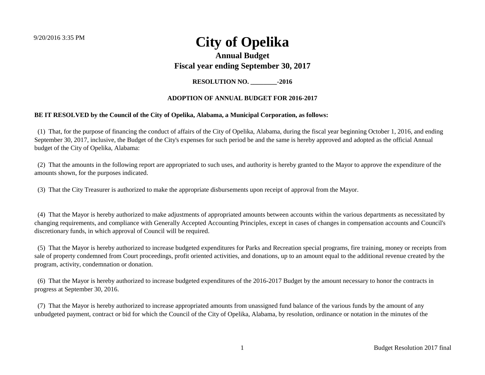### **Annual Budget Fiscal year ending September 30, 2017**

**RESOLUTION NO. \_\_\_\_\_\_\_\_-2016**

### **ADOPTION OF ANNUAL BUDGET FOR 2016-2017**

### **BE IT RESOLVED by the Council of the City of Opelika, Alabama, a Municipal Corporation, as follows:**

 (1) That, for the purpose of financing the conduct of affairs of the City of Opelika, Alabama, during the fiscal year beginning October 1, 2016, and ending September 30, 2017, inclusive, the Budget of the City's expenses for such period be and the same is hereby approved and adopted as the official Annual budget of the City of Opelika, Alabama:

 (2) That the amounts in the following report are appropriated to such uses, and authority is hereby granted to the Mayor to approve the expenditure of the amounts shown, for the purposes indicated.

(3) That the City Treasurer is authorized to make the appropriate disbursements upon receipt of approval from the Mayor.

 (4) That the Mayor is hereby authorized to make adjustments of appropriated amounts between accounts within the various departments as necessitated by changing requirements, and compliance with Generally Accepted Accounting Principles, except in cases of changes in compensation accounts and Council's discretionary funds, in which approval of Council will be required.

 (5) That the Mayor is hereby authorized to increase budgeted expenditures for Parks and Recreation special programs, fire training, money or receipts from sale of property condemned from Court proceedings, profit oriented activities, and donations, up to an amount equal to the additional revenue created by the program, activity, condemnation or donation.

 (6) That the Mayor is hereby authorized to increase budgeted expenditures of the 2016-2017 Budget by the amount necessary to honor the contracts in progress at September 30, 2016.

 (7) That the Mayor is hereby authorized to increase appropriated amounts from unassigned fund balance of the various funds by the amount of any unbudgeted payment, contract or bid for which the Council of the City of Opelika, Alabama, by resolution, ordinance or notation in the minutes of the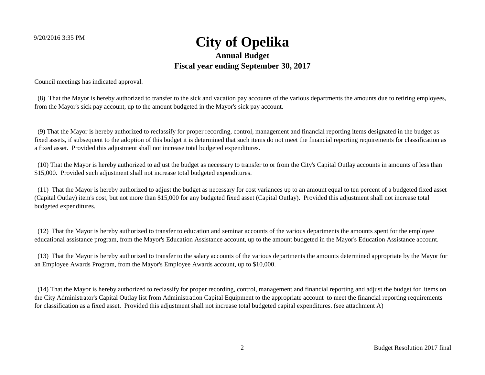### 9/20/2016 3:35 PM **City of Opelika Annual Budget Fiscal year ending September 30, 2017** unduction the Council of the City of Opelika, Alabama, Alabama, alabama, by resolution, ordinance or notation,

Council meetings has indicated approval.

 (8) That the Mayor is hereby authorized to transfer to the sick and vacation pay accounts of the various departments the amounts due to retiring employees, from the Mayor's sick pay account, up to the amount budgeted in the Mayor's sick pay account.

 (9) That the Mayor is hereby authorized to reclassify for proper recording, control, management and financial reporting items designated in the budget as fixed assets, if subsequent to the adoption of this budget it is determined that such items do not meet the financial reporting requirements for classification as a fixed asset. Provided this adjustment shall not increase total budgeted expenditures.

 (10) That the Mayor is hereby authorized to adjust the budget as necessary to transfer to or from the City's Capital Outlay accounts in amounts of less than \$15,000. Provided such adjustment shall not increase total budgeted expenditures.

 (11) That the Mayor is hereby authorized to adjust the budget as necessary for cost variances up to an amount equal to ten percent of a budgeted fixed asset (Capital Outlay) item's cost, but not more than \$15,000 for any budgeted fixed asset (Capital Outlay). Provided this adjustment shall not increase total budgeted expenditures.

 (12) That the Mayor is hereby authorized to transfer to education and seminar accounts of the various departments the amounts spent for the employee educational assistance program, from the Mayor's Education Assistance account, up to the amount budgeted in the Mayor's Education Assistance account.

 (13) That the Mayor is hereby authorized to transfer to the salary accounts of the various departments the amounts determined appropriate by the Mayor for an Employee Awards Program, from the Mayor's Employee Awards account, up to \$10,000.

 (14) That the Mayor is hereby authorized to reclassify for proper recording, control, management and financial reporting and adjust the budget for items on the City Administrator's Capital Outlay list from Administration Capital Equipment to the appropriate account to meet the financial reporting requirements for classification as a fixed asset. Provided this adjustment shall not increase total budgeted capital expenditures. (see attachment A)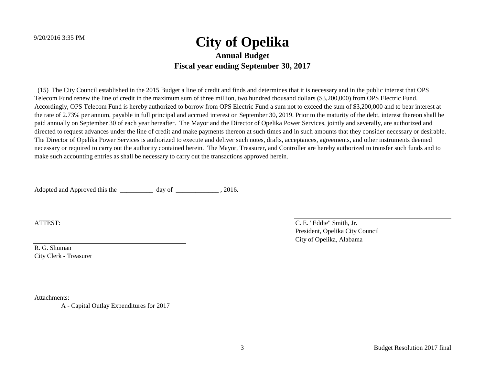(15) The City Council established in the 2015 Budget a line of credit and finds and determines that it is necessary and in the public interest that OPS Telecom Fund renew the line of credit in the maximum sum of three million, two hundred thousand dollars (\$3,200,000) from OPS Electric Fund. Accordingly, OPS Telecom Fund is hereby authorized to borrow from OPS Electric Fund a sum not to exceed the sum of \$3,200,000 and to bear interest at the rate of 2.73% per annum, payable in full principal and accrued interest on September 30, 2019. Prior to the maturity of the debt, interest thereon shall be paid annually on September 30 of each year hereafter. The Mayor and the Director of Opelika Power Services, jointly and severally, are authorized and directed to request advances under the line of credit and make payments thereon at such times and in such amounts that they consider necessary or desirable. The Director of Opelika Power Services is authorized to execute and deliver such notes, drafts, acceptances, agreements, and other instruments deemed necessary or required to carry out the authority contained herein. The Mayor, Treasurer, and Controller are hereby authorized to transfer such funds and to make such accounting entries as shall be necessary to carry out the transactions approved herein.

Adopted and Approved this the \_\_\_\_\_\_\_\_\_\_\_\_ day of \_\_\_\_\_\_\_\_\_\_\_\_\_\_, 2016.

R. G. Shuman City Clerk - Treasurer

Attachments:

A - Capital Outlay Expenditures for 2017

ATTEST: C. E. "Eddie" Smith, Jr. President, Opelika City Council City of Opelika, Alabama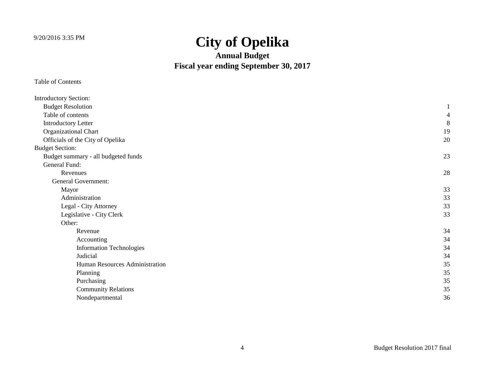**Annual Budget Fiscal year ending September 30, 2017**

| <b>Introductory Section:</b>        |    |
|-------------------------------------|----|
| <b>Budget Resolution</b>            |    |
| Table of contents                   | 4  |
| <b>Introductory Letter</b>          | 8  |
| Organizational Chart                | 19 |
| Officials of the City of Opelika    | 20 |
| <b>Budget Section:</b>              |    |
| Budget summary - all budgeted funds | 23 |
| General Fund:                       |    |
| Revenues                            | 28 |
| <b>General Government:</b>          |    |
| Mayor                               | 33 |
| Administration                      | 33 |
| Legal - City Attorney               | 33 |
| Legislative - City Clerk            | 33 |
| Other:                              |    |
| Revenue                             | 34 |
| Accounting                          | 34 |
| <b>Information Technologies</b>     | 34 |
| Judicial                            | 34 |
| Human Resources Administration      | 35 |
| Planning                            | 35 |
| Purchasing                          | 35 |
| <b>Community Relations</b>          | 35 |
| Nondepartmental                     | 36 |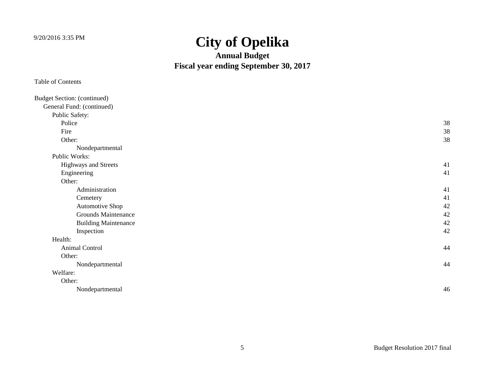**Annual Budget Fiscal year ending September 30, 2017**

| <b>Budget Section: (continued)</b> |    |
|------------------------------------|----|
| General Fund: (continued)          |    |
| Public Safety:                     |    |
| Police                             | 38 |
| Fire                               | 38 |
| Other:                             | 38 |
| Nondepartmental                    |    |
| Public Works:                      |    |
| Highways and Streets               | 41 |
| Engineering                        | 41 |
| Other:                             |    |
| Administration                     | 41 |
| Cemetery                           | 41 |
| Automotive Shop                    | 42 |
| <b>Grounds Maintenance</b>         | 42 |
| <b>Building Maintenance</b>        | 42 |
| Inspection                         | 42 |
| Health:                            |    |
| Animal Control                     | 44 |
| Other:                             |    |
| Nondepartmental                    | 44 |
| Welfare:                           |    |
| Other:                             |    |
| Nondepartmental                    | 46 |
|                                    |    |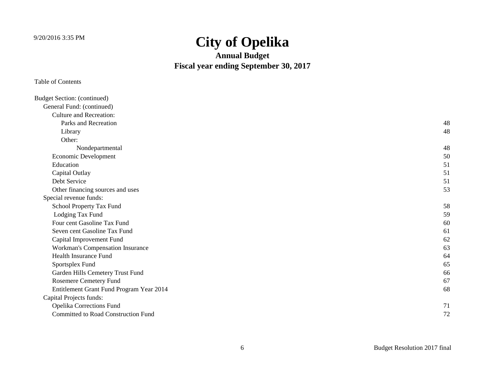**Annual Budget Fiscal year ending September 30, 2017**

| <b>Budget Section: (continued)</b>       |    |
|------------------------------------------|----|
| General Fund: (continued)                |    |
| <b>Culture and Recreation:</b>           |    |
| Parks and Recreation                     | 48 |
| Library                                  | 48 |
| Other:                                   |    |
| Nondepartmental                          | 48 |
| Economic Development                     | 50 |
| Education                                | 51 |
| Capital Outlay                           | 51 |
| Debt Service                             | 51 |
| Other financing sources and uses         | 53 |
| Special revenue funds:                   |    |
| School Property Tax Fund                 | 58 |
| Lodging Tax Fund                         | 59 |
| Four cent Gasoline Tax Fund              | 60 |
| Seven cent Gasoline Tax Fund             | 61 |
| Capital Improvement Fund                 | 62 |
| Workman's Compensation Insurance         | 63 |
| <b>Health Insurance Fund</b>             | 64 |
| Sportsplex Fund                          | 65 |
| Garden Hills Cemetery Trust Fund         | 66 |
| Rosemere Cemetery Fund                   | 67 |
| Entitlement Grant Fund Program Year 2014 | 68 |
| Capital Projects funds:                  |    |
| Opelika Corrections Fund                 | 71 |
| Committed to Road Construction Fund      | 72 |
|                                          |    |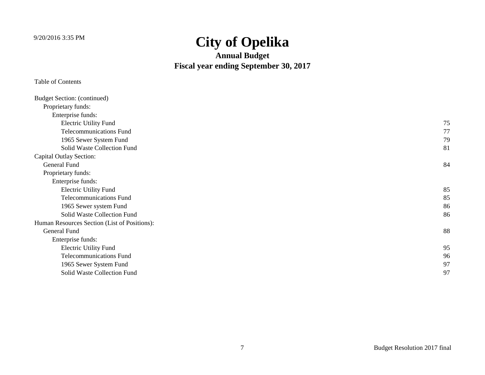**Annual Budget Fiscal year ending September 30, 2017**

| <b>Budget Section: (continued)</b>           |    |
|----------------------------------------------|----|
| Proprietary funds:                           |    |
| Enterprise funds:                            |    |
| <b>Electric Utility Fund</b>                 | 75 |
| <b>Telecommunications Fund</b>               | 77 |
| 1965 Sewer System Fund                       | 79 |
| Solid Waste Collection Fund                  | 81 |
| Capital Outlay Section:                      |    |
| <b>General Fund</b>                          | 84 |
| Proprietary funds:                           |    |
| Enterprise funds:                            |    |
| <b>Electric Utility Fund</b>                 | 85 |
| <b>Telecommunications Fund</b>               | 85 |
| 1965 Sewer system Fund                       | 86 |
| Solid Waste Collection Fund                  | 86 |
| Human Resources Section (List of Positions): |    |
| <b>General Fund</b>                          | 88 |
| Enterprise funds:                            |    |
| <b>Electric Utility Fund</b>                 | 95 |
| <b>Telecommunications Fund</b>               | 96 |
| 1965 Sewer System Fund                       | 97 |
| Solid Waste Collection Fund                  | 97 |
|                                              |    |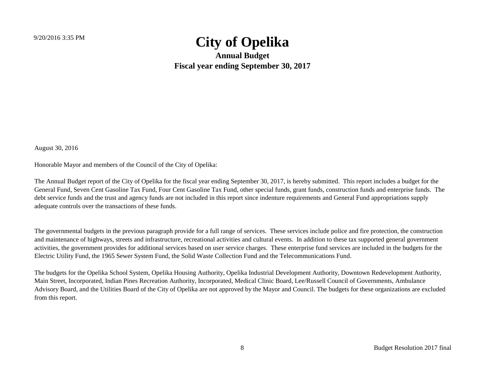**Annual Budget Fiscal year ending September 30, 2017**

August 30, 2016

Honorable Mayor and members of the Council of the City of Opelika:

The Annual Budget report of the City of Opelika for the fiscal year ending September 30, 2017, is hereby submitted. This report includes a budget for the General Fund, Seven Cent Gasoline Tax Fund, Four Cent Gasoline Tax Fund, other special funds, grant funds, construction funds and enterprise funds. The debt service funds and the trust and agency funds are not included in this report since indenture requirements and General Fund appropriations supply adequate controls over the transactions of these funds.

The governmental budgets in the previous paragraph provide for a full range of services. These services include police and fire protection, the construction and maintenance of highways, streets and infrastructure, recreational activities and cultural events. In addition to these tax supported general government activities, the government provides for additional services based on user service charges. These enterprise fund services are included in the budgets for the Electric Utility Fund, the 1965 Sewer System Fund, the Solid Waste Collection Fund and the Telecommunications Fund.

The budgets for the Opelika School System, Opelika Housing Authority, Opelika Industrial Development Authority, Downtown Redevelopment Authority, Main Street, Incorporated, Indian Pines Recreation Authority, Incorporated, Medical Clinic Board, Lee/Russell Council of Governments, Ambulance Advisory Board, and the Utilities Board of the City of Opelika are not approved by the Mayor and Council. The budgets for these organizations are excluded from this report.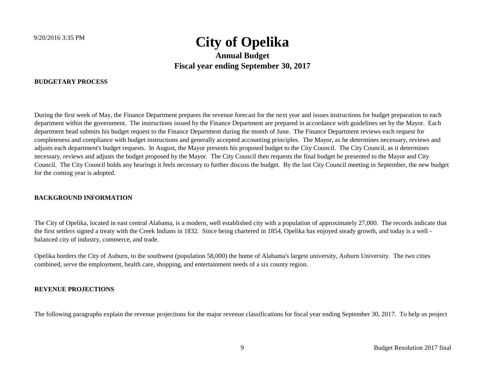### **BUDGETARY PROCESS**

During the first week of May, the Finance Department prepares the revenue forecast for the next year and issues instructions for budget preparation to each department within the government. The instructions issued by the Finance Department are prepared in accordance with guidelines set by the Mayor. Each department head submits his budget request to the Finance Department during the month of June. The Finance Department reviews each request for completeness and compliance with budget instructions and generally accepted accounting principles. The Mayor, as he determines necessary, reviews and adjusts each department's budget requests. In August, the Mayor presents his proposed budget to the City Council. The City Council, as it determines necessary, reviews and adjusts the budget proposed by the Mayor. The City Council then requests the final budget be presented to the Mayor and City Council. The City Council holds any hearings it feels necessary to further discuss the budget. By the last City Council meeting in September, the new budget for the coming year is adopted.

### **BACKGROUND INFORMATION**

The City of Opelika, located in east central Alabama, is a modern, well established city with a population of approximately 27,000. The records indicate that the first settlers signed a treaty with the Creek Indians in 1832. Since being chartered in 1854, Opelika has enjoyed steady growth, and today is a well balanced city of industry, commerce, and trade.

Opelika borders the City of Auburn, to the southwest (population 58,000) the home of Alabama's largest university, Auburn University. The two cities combined, serve the employment, health care, shopping, and entertainment needs of a six county region.

### **REVENUE PROJECTIONS**

The following paragraphs explain the revenue projections for the major revenue classifications for fiscal year ending September 30, 2017. To help us project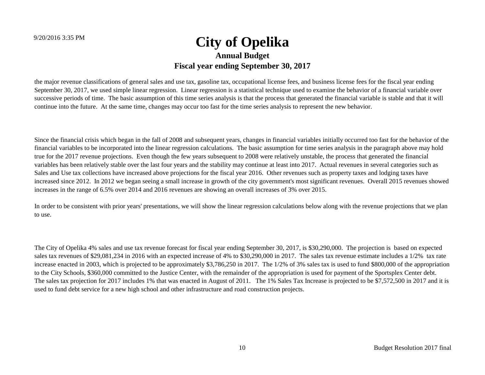### 9/20/2016 3:35 PM **City of Opelika Annual Budget Fiscal year ending September 30, 2017** The following paragraphs explain the revenue projections for the major revenue classifications for fiscal year ending September 30, 2017. To help us project

the major revenue classifications of general sales and use tax, gasoline tax, occupational license fees, and business license fees for the fiscal year ending September 30, 2017, we used simple linear regression. Linear regression is a statistical technique used to examine the behavior of a financial variable over successive periods of time. The basic assumption of this time series analysis is that the process that generated the financial variable is stable and that it will continue into the future. At the same time, changes may occur too fast for the time series analysis to represent the new behavior.

Since the financial crisis which began in the fall of 2008 and subsequent years, changes in financial variables initially occurred too fast for the behavior of the financial variables to be incorporated into the linear regression calculations. The basic assumption for time series analysis in the paragraph above may hold true for the 2017 revenue projections. Even though the few years subsequent to 2008 were relatively unstable, the process that generated the financial variables has been relatively stable over the last four years and the stability may continue at least into 2017. Actual revenues in several categories such as Sales and Use tax collections have increased above projections for the fiscal year 2016. Other revenues such as property taxes and lodging taxes have increased since 2012. In 2012 we began seeing a small increase in growth of the city government's most significant revenues. Overall 2015 revenues showed increases in the range of 6.5% over 2014 and 2016 revenues are showing an overall increases of 3% over 2015.

In order to be consistent with prior years' presentations, we will show the linear regression calculations below along with the revenue projections that we plan to use.

The City of Opelika 4% sales and use tax revenue forecast for fiscal year ending September 30, 2017, is \$30,290,000. The projection is based on expected sales tax revenues of \$29,081,234 in 2016 with an expected increase of 4% to \$30,290,000 in 2017. The sales tax revenue estimate includes a 1/2% tax rate increase enacted in 2003, which is projected to be approximately \$3,786,250 in 2017. The 1/2% of 3% sales tax is used to fund \$800,000 of the appropriation to the City Schools, \$360,000 committed to the Justice Center, with the remainder of the appropriation is used for payment of the Sportsplex Center debt. The sales tax projection for 2017 includes 1% that was enacted in August of 2011. The 1% Sales Tax Increase is projected to be \$7,572,500 in 2017 and it is used to fund debt service for a new high school and other infrastructure and road construction projects.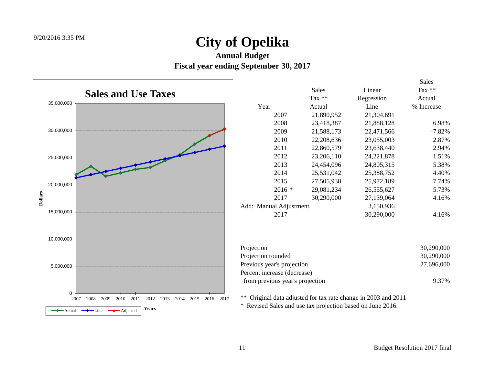**Annual Budget**

**Fiscal year ending September 30, 2017**

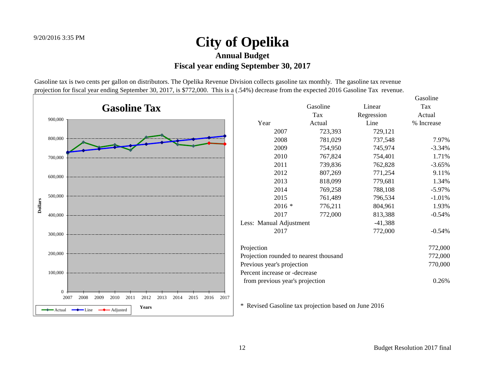Gasoline tax is two cents per gallon on distributors. The Opelika Revenue Division collects gasoline tax monthly. The gasoline tax revenue projection for fiscal year ending September 30, 2017, is \$772,000. This is a (.54%) decrease from the expected 2016 Gasoline Tax revenue.

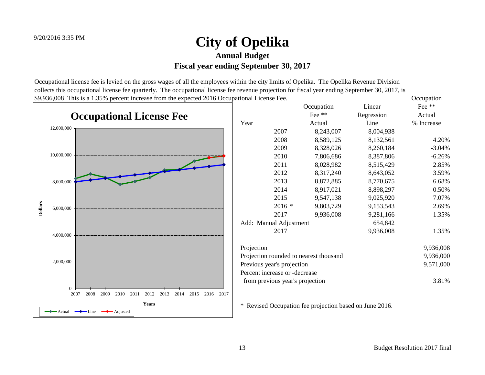Occupational license fee is levied on the gross wages of all the employees within the city limits of Opelika. The Opelika Revenue Division collects this occupational license fee quarterly. The occupational license fee revenue projection for fiscal year ending September 30, 2017, is \$9,936,008 This is a 1.35% percent increase from the expected 2016 Occupational License Fee. Occupation

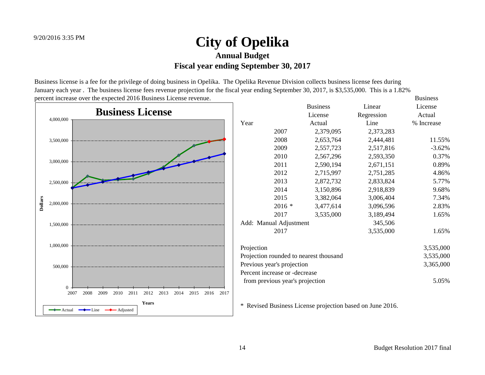Business license is a fee for the privilege of doing business in Opelika. The Opelika Revenue Division collects business license fees during January each year . The business license fees revenue projection for the fiscal year ending September 30, 2017, is \$3,535,000. This is a 1.82% percent increase over the expected 2016 Business License revenue. Business contracts are seen that the expected 2016 Business License revenue.

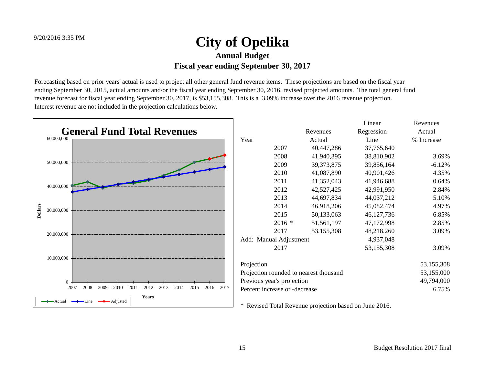Forecasting based on prior years' actual is used to project all other general fund revenue items. These projections are based on the fiscal year ending September 30, 2015, actual amounts and/or the fiscal year ending September 30, 2016, revised projected amounts. The total general fund revenue forecast for fiscal year ending September 30, 2017, is \$53,155,308. This is a 3.09% increase over the 2016 revenue projection. Interest revenue are not included in the projection calculations below.

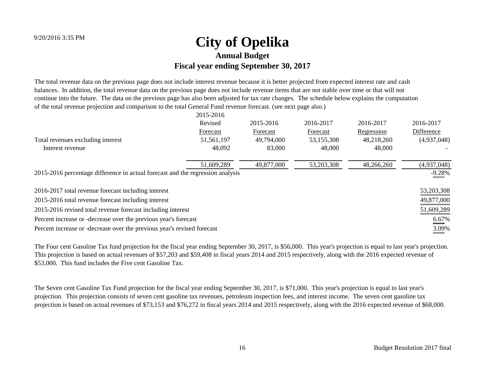The total revenue data on the previous page does not include interest revenue because it is better projected from expected interest rate and cash balances. In addition, the total revenue data on the previous page does not include revenue items that are not stable over time or that will not continue into the future. The data on the previous page has also been adjusted for tax rate changes. The schedule below explains the computation of the total revenue projection and comparison to the total General Fund revenue forecast. (see next page also.)

|                                                                                | 2015-2016  |            |            |            |                      |
|--------------------------------------------------------------------------------|------------|------------|------------|------------|----------------------|
|                                                                                | Revised    | 2015-2016  | 2016-2017  | 2016-2017  | 2016-2017            |
|                                                                                | Forecast   | Forecast   | Forecast   | Regression | Difference           |
| Total revenues excluding interest                                              | 51,561,197 | 49,794,000 | 53,155,308 | 48,218,260 | (4,937,048)          |
| Interest revenue                                                               | 48,092     | 83,000     | 48,000     | 48,000     |                      |
|                                                                                | 51,609,289 | 49,877,000 | 53,203,308 | 48,266,260 | (4,937,048)          |
| 2015-2016 percentage difference in actual forecast and the regression analysis |            |            |            |            |                      |
| 2016-2017 total revenue forecast including interest                            |            |            |            |            | 53, 203, 308         |
| 2015-2016 total revenue forecast including interest                            |            |            |            |            | 49,877,000           |
| 2015-2016 revised total revenue forecast including interest                    |            |            |            |            | 51,609,289           |
| Percent increase or -decrease over the previous year's forecast                |            |            |            |            | $\underline{6.67\%}$ |
| Percent increase or -decrease over the previous year's revised forecast        |            |            |            |            | 3.09%                |

The Four cent Gasoline Tax fund projection for the fiscal year ending September 30, 2017, is \$56,000. This year's projection is equal to last year's projection. This projection is based on actual revenues of \$57,203 and \$59,408 in fiscal years 2014 and 2015 respectively, along with the 2016 expected revenue of \$53,000. This fund includes the Five cent Gasoline Tax.

The Seven cent Gasoline Tax Fund projection for the fiscal year ending September 30, 2017, is \$71,000. This year's projection is equal to last year's projection. This projection consists of seven cent gasoline tax revenues, petroleum inspection fees, and interest income. The seven cent gasoline tax projection is based on actual revenues of \$73,153 and \$76,272 in fiscal years 2014 and 2015 respectively, along with the 2016 expected revenue of \$68,000.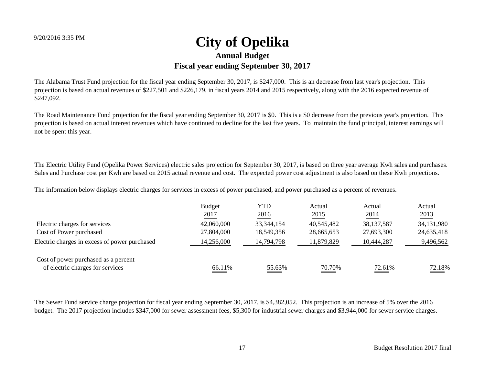The Alabama Trust Fund projection for the fiscal year ending September 30, 2017, is \$247,000. This is an decrease from last year's projection. This projection is based on actual revenues of \$227,501 and \$226,179, in fiscal years 2014 and 2015 respectively, along with the 2016 expected revenue of \$247,092.

The Road Maintenance Fund projection for the fiscal year ending September 30, 2017 is \$0. This is a \$0 decrease from the previous year's projection. This projection is based on actual interest revenues which have continued to decline for the last five years. To maintain the fund principal, interest earnings will not be spent this year.

The Electric Utility Fund (Opelika Power Services) electric sales projection for September 30, 2017, is based on three year average Kwh sales and purchases. Sales and Purchase cost per Kwh are based on 2015 actual revenue and cost. The expected power cost adjustment is also based on these Kwh projections.

The information below displays electric charges for services in excess of power purchased, and power purchased as a percent of revenues.

|                                               | <b>Budget</b><br>2017 | YTD<br>2016  | Actual<br>2015 | Actual<br>2014 | Actual<br>2013 |
|-----------------------------------------------|-----------------------|--------------|----------------|----------------|----------------|
| Electric charges for services                 | 42,060,000            | 33, 344, 154 | 40,545,482     | 38, 137, 587   | 34,131,980     |
| Cost of Power purchased                       | 27,804,000            | 18,549,356   | 28,665,653     | 27,693,300     | 24,635,418     |
| Electric charges in excess of power purchased | 14,256,000            | 14,794,798   | 11,879,829     | 10,444,287     | 9,496,562      |
| Cost of power purchased as a percent          |                       |              |                |                |                |
| of electric charges for services              | 66.11%                | 55.63%       | 70.70%         | 72.61%         | 72.18%         |

The Sewer Fund service charge projection for fiscal year ending September 30, 2017, is \$4,382,052. This projection is an increase of 5% over the 2016 budget. The 2017 projection includes \$347,000 for sewer assessment fees, \$5,300 for industrial sewer charges and \$3,944,000 for sewer service charges.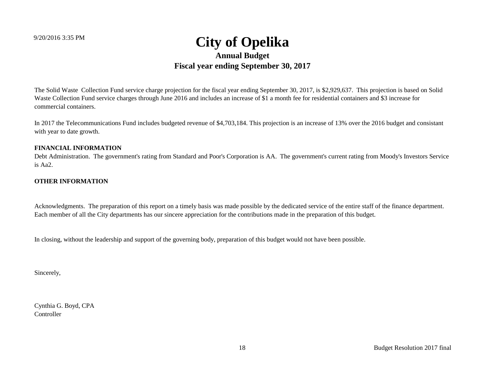The Solid Waste Collection Fund service charge projection for the fiscal year ending September 30, 2017, is \$2,929,637. This projection is based on Solid Waste Collection Fund service charges through June 2016 and includes an increase of \$1 a month fee for residential containers and \$3 increase for commercial containers.

In 2017 the Telecommunications Fund includes budgeted revenue of \$4,703,184. This projection is an increase of 13% over the 2016 budget and consistant with year to date growth.

### **FINANCIAL INFORMATION**

Debt Administration. The government's rating from Standard and Poor's Corporation is AA. The government's current rating from Moody's Investors Service is Aa2.

### **OTHER INFORMATION**

Acknowledgments. The preparation of this report on a timely basis was made possible by the dedicated service of the entire staff of the finance department. Each member of all the City departments has our sincere appreciation for the contributions made in the preparation of this budget.

In closing, without the leadership and support of the governing body, preparation of this budget would not have been possible.

Sincerely,

Cynthia G. Boyd, CPA **Controller**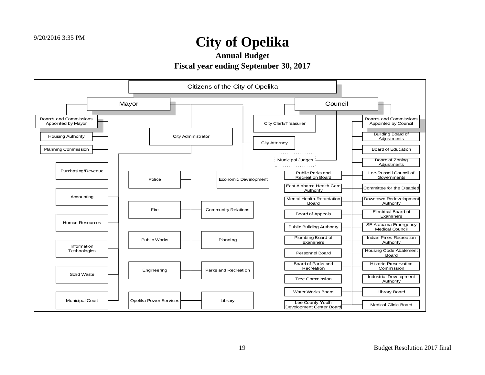**Annual Budget**

**Fiscal year ending September 30, 2017**

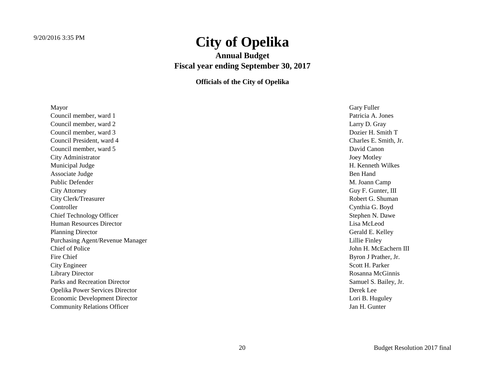**Annual Budget Fiscal year ending September 30, 2017**

**Officials of the City of Opelika**

| Mayor                                | Gary Fuller           |
|--------------------------------------|-----------------------|
| Council member, ward 1               | Patricia A. Jones     |
| Council member, ward 2               | Larry D. Gray         |
| Council member, ward 3               | Dozier H. Smith T     |
| Council President, ward 4            | Charles E. Smith, Jr. |
| Council member, ward 5               | David Canon           |
| City Administrator                   | <b>Joey Motley</b>    |
| Municipal Judge                      | H. Kenneth Wilkes     |
| Associate Judge                      | Ben Hand              |
| <b>Public Defender</b>               | M. Joann Camp         |
| <b>City Attorney</b>                 | Guy F. Gunter, III    |
| City Clerk/Treasurer                 | Robert G. Shuman      |
| Controller                           | Cynthia G. Boyd       |
| <b>Chief Technology Officer</b>      | Stephen N. Dawe       |
| <b>Human Resources Director</b>      | Lisa McLeod           |
| <b>Planning Director</b>             | Gerald E. Kelley      |
| Purchasing Agent/Revenue Manager     | Lillie Finley         |
| <b>Chief of Police</b>               | John H. McEachern III |
| Fire Chief                           | Byron J Prather, Jr.  |
| City Engineer                        | Scott H. Parker       |
| <b>Library Director</b>              | Rosanna McGinnis      |
| Parks and Recreation Director        | Samuel S. Bailey, Jr. |
| Opelika Power Services Director      | Derek Lee             |
| <b>Economic Development Director</b> | Lori B. Huguley       |
| <b>Community Relations Officer</b>   | Jan H. Gunter         |
|                                      |                       |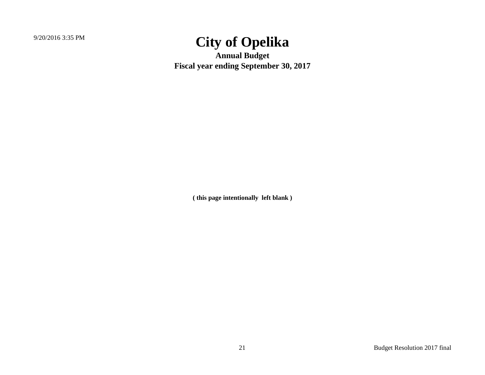**Annual Budget Fiscal year ending September 30, 2017**

**( this page intentionally left blank )**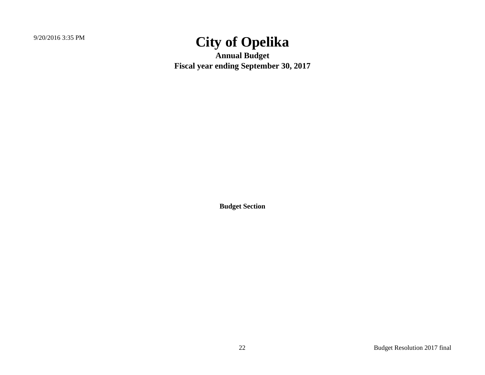**Annual Budget Fiscal year ending September 30, 2017**

**Budget Section**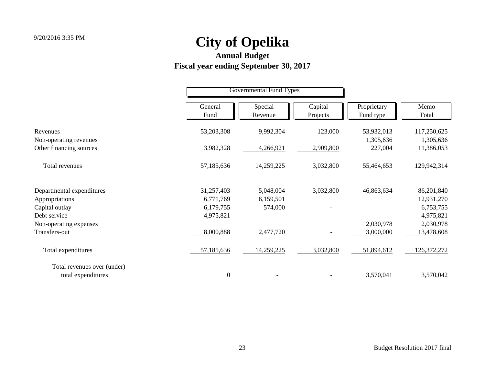|                                                   |                  | <b>Governmental Fund Types</b> |                     |                          |                         |
|---------------------------------------------------|------------------|--------------------------------|---------------------|--------------------------|-------------------------|
|                                                   | General<br>Fund  | Special<br>Revenue             | Capital<br>Projects | Proprietary<br>Fund type | Memo<br>Total           |
| Revenues                                          | 53,203,308       | 9,992,304                      | 123,000             | 53,932,013               | 117,250,625             |
| Non-operating revenues<br>Other financing sources | 3,982,328        | 4,266,921                      | 2,909,800           | 1,305,636<br>227,004     | 1,305,636<br>11,386,053 |
| Total revenues                                    | 57,185,636       | 14,259,225                     | 3,032,800           | 55,464,653               | 129,942,314             |
| Departmental expenditures                         | 31,257,403       | 5,048,004                      | 3,032,800           | 46,863,634               | 86,201,840              |
| Appropriations                                    | 6,771,769        | 6,159,501                      |                     |                          | 12,931,270              |
| Capital outlay                                    | 6,179,755        | 574,000                        |                     |                          | 6,753,755               |
| Debt service                                      | 4,975,821        |                                |                     |                          | 4,975,821               |
| Non-operating expenses                            |                  |                                |                     | 2,030,978                | 2,030,978               |
| Transfers-out                                     | 8,000,888        | 2,477,720                      |                     | 3,000,000                | 13,478,608              |
| Total expenditures                                | 57,185,636       | 14,259,225                     | 3,032,800           | 51,894,612               | 126,372,272             |
| Total revenues over (under)                       |                  |                                |                     |                          |                         |
| total expenditures                                | $\boldsymbol{0}$ |                                |                     | 3,570,041                | 3,570,042               |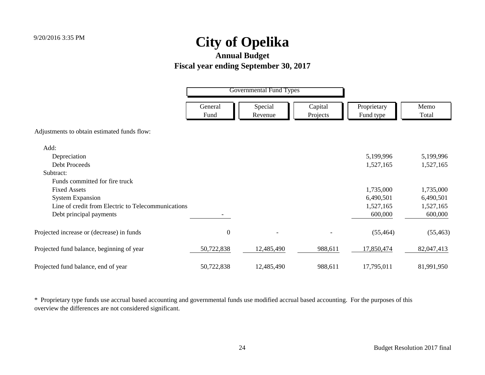### **Annual Budget Fiscal year ending September 30, 2017**

|                                                    | <b>Governmental Fund Types</b> |                    |                     |                          |               |
|----------------------------------------------------|--------------------------------|--------------------|---------------------|--------------------------|---------------|
|                                                    | General<br>Fund                | Special<br>Revenue | Capital<br>Projects | Proprietary<br>Fund type | Memo<br>Total |
| Adjustments to obtain estimated funds flow:        |                                |                    |                     |                          |               |
| Add:                                               |                                |                    |                     |                          |               |
| Depreciation                                       |                                |                    |                     | 5,199,996                | 5,199,996     |
| <b>Debt Proceeds</b>                               |                                |                    |                     | 1,527,165                | 1,527,165     |
| Subtract:                                          |                                |                    |                     |                          |               |
| Funds committed for fire truck                     |                                |                    |                     |                          |               |
| <b>Fixed Assets</b>                                |                                |                    |                     | 1,735,000                | 1,735,000     |
| <b>System Expansion</b>                            |                                |                    |                     | 6,490,501                | 6,490,501     |
| Line of credit from Electric to Telecommunications |                                |                    |                     | 1,527,165                | 1,527,165     |
| Debt principal payments                            |                                |                    |                     | 600,000                  | 600,000       |
| Projected increase or (decrease) in funds          | $\boldsymbol{0}$               | $\qquad \qquad -$  |                     | (55, 464)                | (55, 463)     |
| Projected fund balance, beginning of year          | 50,722,838                     | 12,485,490         | 988,611             | 17,850,474               | 82,047,413    |
| Projected fund balance, end of year                | 50,722,838                     | 12,485,490         | 988,611             | 17,795,011               | 81,991,950    |

\* Proprietary type funds use accrual based accounting and governmental funds use modified accrual based accounting. For the purposes of this overview the differences are not considered significant.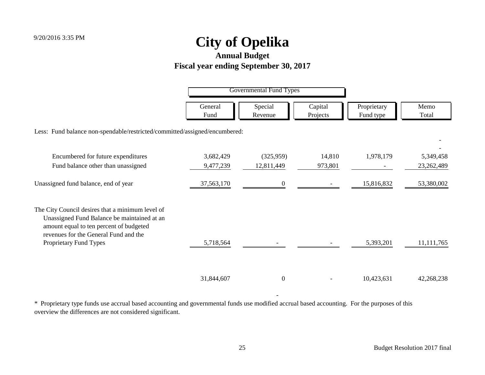### **Annual Budget Fiscal year ending September 30, 2017**

|                                                                                                                                                                                     | <b>Governmental Fund Types</b> |                    |                     |                          |               |
|-------------------------------------------------------------------------------------------------------------------------------------------------------------------------------------|--------------------------------|--------------------|---------------------|--------------------------|---------------|
|                                                                                                                                                                                     | General<br>Fund                | Special<br>Revenue | Capital<br>Projects | Proprietary<br>Fund type | Memo<br>Total |
| Less: Fund balance non-spendable/restricted/committed/assigned/encumbered:                                                                                                          |                                |                    |                     |                          |               |
| Encumbered for future expenditures                                                                                                                                                  | 3,682,429                      | (325,959)          | 14,810              | 1,978,179                | 5,349,458     |
| Fund balance other than unassigned                                                                                                                                                  | 9,477,239                      | 12,811,449         | 973,801             |                          | 23,262,489    |
| Unassigned fund balance, end of year                                                                                                                                                | 37,563,170                     | $\overline{0}$     |                     | 15,816,832               | 53,380,002    |
| The City Council desires that a minimum level of<br>Unassigned Fund Balance be maintained at an<br>amount equal to ten percent of budgeted<br>revenues for the General Fund and the |                                |                    |                     |                          |               |
| Proprietary Fund Types                                                                                                                                                              | 5,718,564                      |                    |                     | 5,393,201                | 11, 111, 765  |
|                                                                                                                                                                                     | 31,844,607                     | $\Omega$           |                     | 10,423,631               | 42,268,238    |

\* Proprietary type funds use accrual based accounting and governmental funds use modified accrual based accounting. For the purposes of this overview the differences are not considered significant.

- 1990 - 1990 -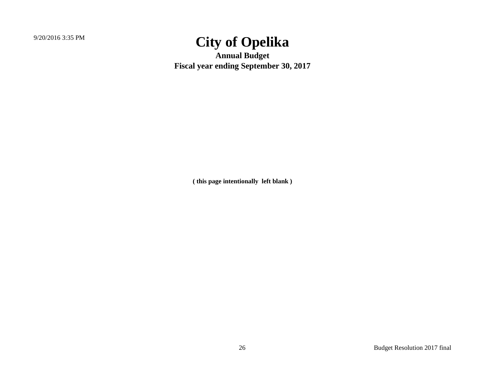**Annual Budget Fiscal year ending September 30, 2017**

**( this page intentionally left blank )**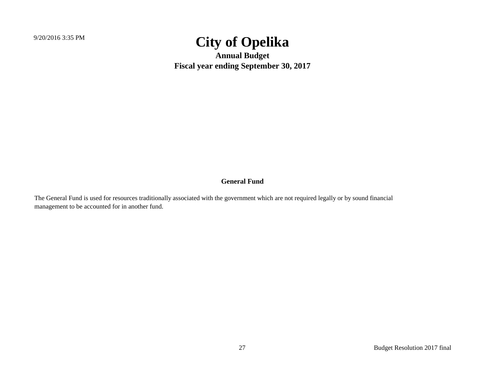**Annual Budget Fiscal year ending September 30, 2017**

### **General Fund**

The General Fund is used for resources traditionally associated with the government which are not required legally or by sound financial management to be accounted for in another fund.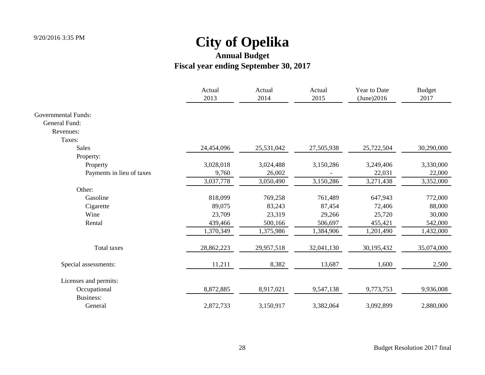|                            | Actual<br>2013 | Actual<br>2014 | Actual<br>2015 | Year to Date<br>(June)2016 | <b>Budget</b><br>2017 |
|----------------------------|----------------|----------------|----------------|----------------------------|-----------------------|
| <b>Governmental Funds:</b> |                |                |                |                            |                       |
| General Fund:              |                |                |                |                            |                       |
| Revenues:                  |                |                |                |                            |                       |
| Taxes:                     |                |                |                |                            |                       |
| <b>Sales</b>               | 24,454,096     | 25,531,042     | 27,505,938     | 25,722,504                 | 30,290,000            |
| Property:                  |                |                |                |                            |                       |
| Property                   | 3,028,018      | 3,024,488      | 3,150,286      | 3,249,406                  | 3,330,000             |
| Payments in lieu of taxes  | 9,760          | 26,002         |                | 22,031                     | 22,000                |
|                            | 3,037,778      | 3,050,490      | 3,150,286      | 3,271,438                  | 3,352,000             |
| Other:                     |                |                |                |                            |                       |
| Gasoline                   | 818,099        | 769,258        | 761,489        | 647,943                    | 772,000               |
| Cigarette                  | 89,075         | 83,243         | 87,454         | 72,406                     | 88,000                |
| Wine                       | 23,709         | 23,319         | 29,266         | 25,720                     | 30,000                |
| Rental                     | 439,466        | 500,166        | 506,697        | 455,421                    | 542,000               |
|                            | 1,370,349      | 1,375,986      | 1,384,906      | 1,201,490                  | 1,432,000             |
| Total taxes                | 28,862,223     | 29,957,518     | 32,041,130     | 30,195,432                 | 35,074,000            |
| Special assessments:       | 11,211         | 8,382          | 13,687         | 1,600                      | 2,500                 |
| Licenses and permits:      |                |                |                |                            |                       |
| Occupational               | 8,872,885      | 8,917,021      | 9,547,138      | 9,773,753                  | 9,936,008             |
| <b>Business:</b>           |                |                |                |                            |                       |
| General                    | 2,872,733      | 3,150,917      | 3,382,064      | 3,092,899                  | 2,880,000             |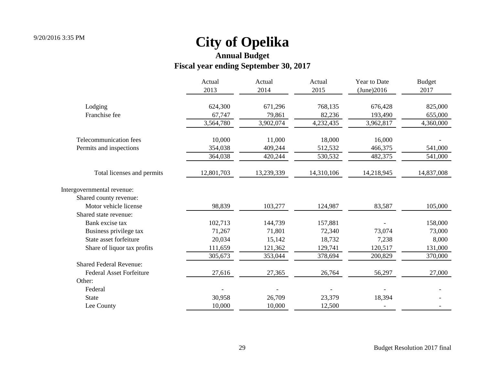|                                 | Actual     | Actual     | Actual     | Year to Date | <b>Budget</b> |
|---------------------------------|------------|------------|------------|--------------|---------------|
|                                 | 2013       | 2014       | 2015       | (June)2016   | 2017          |
| Lodging                         | 624,300    | 671,296    | 768,135    | 676,428      | 825,000       |
| Franchise fee                   | 67,747     | 79,861     | 82,236     | 193,490      | 655,000       |
|                                 | 3,564,780  | 3,902,074  | 4,232,435  | 3,962,817    | 4,360,000     |
| Telecommunication fees          | 10,000     | 11,000     | 18,000     | 16,000       |               |
| Permits and inspections         | 354,038    | 409,244    | 512,532    | 466,375      | 541,000       |
|                                 | 364,038    | 420,244    | 530,532    | 482,375      | 541,000       |
| Total licenses and permits      | 12,801,703 | 13,239,339 | 14,310,106 | 14,218,945   | 14,837,008    |
| Intergovernmental revenue:      |            |            |            |              |               |
| Shared county revenue:          |            |            |            |              |               |
| Motor vehicle license           | 98,839     | 103,277    | 124,987    | 83,587       | 105,000       |
| Shared state revenue:           |            |            |            |              |               |
| Bank excise tax                 | 102,713    | 144,739    | 157,881    |              | 158,000       |
| Business privilege tax          | 71,267     | 71,801     | 72,340     | 73,074       | 73,000        |
| State asset forfeiture          | 20,034     | 15,142     | 18,732     | 7,238        | 8,000         |
| Share of liquor tax profits     | 111,659    | 121,362    | 129,741    | 120,517      | 131,000       |
|                                 | 305,673    | 353,044    | 378,694    | 200,829      | 370,000       |
| <b>Shared Federal Revenue:</b>  |            |            |            |              |               |
| <b>Federal Asset Forfeiture</b> | 27,616     | 27,365     | 26,764     | 56,297       | 27,000        |
| Other:                          |            |            |            |              |               |
| Federal                         |            |            |            |              |               |
| <b>State</b>                    | 30,958     | 26,709     | 23,379     | 18,394       |               |
| Lee County                      | 10,000     | 10,000     | 12,500     |              |               |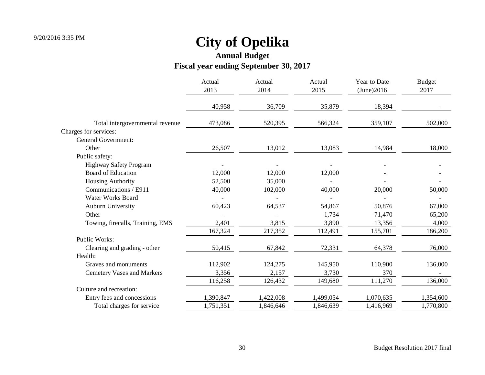## **Annual Budget**

### **Fiscal year ending September 30, 2017**

|                                   | Actual<br>2013<br>40,958 | Actual<br>2014 | Actual<br>2015 | Year to Date<br>(June)2016<br>18,394 | <b>Budget</b><br>2017 |
|-----------------------------------|--------------------------|----------------|----------------|--------------------------------------|-----------------------|
|                                   |                          | 36,709         | 35,879         |                                      |                       |
| Total intergovernmental revenue   | 473,086                  | 520,395        | 566,324        | 359,107                              | 502,000               |
| Charges for services:             |                          |                |                |                                      |                       |
| <b>General Government:</b>        |                          |                |                |                                      |                       |
| Other                             | 26,507                   | 13,012         | 13,083         | 14,984                               | 18,000                |
| Public safety:                    |                          |                |                |                                      |                       |
| Highway Safety Program            |                          |                |                |                                      |                       |
| <b>Board of Education</b>         | 12,000                   | 12,000         | 12,000         |                                      |                       |
| <b>Housing Authority</b>          | 52,500                   | 35,000         |                |                                      |                       |
| Communications / E911             | 40,000                   | 102,000        | 40,000         | 20,000                               | 50,000                |
| <b>Water Works Board</b>          |                          |                |                |                                      |                       |
| <b>Auburn University</b>          | 60,423                   | 64,537         | 54,867         | 50,876                               | 67,000                |
| Other                             |                          |                | 1,734          | 71,470                               | 65,200                |
| Towing, firecalls, Training, EMS  | 2,401                    | 3,815          | 3,890          | 13,356                               | 4,000                 |
|                                   | 167,324                  | 217,352        | 112,491        | 155,701                              | 186,200               |
| Public Works:                     |                          |                |                |                                      |                       |
| Clearing and grading - other      | 50,415                   | 67,842         | 72,331         | 64,378                               | 76,000                |
| Health:                           |                          |                |                |                                      |                       |
| Graves and monuments              | 112,902                  | 124,275        | 145,950        | 110,900                              | 136,000               |
| <b>Cemetery Vases and Markers</b> | 3,356                    | 2,157          | 3,730          | 370                                  |                       |
|                                   | 116,258                  | 126,432        | 149,680        | 111,270                              | 136,000               |
| Culture and recreation:           |                          |                |                |                                      |                       |
| Entry fees and concessions        | 1,390,847                | 1,422,008      | 1,499,054      | 1,070,635                            | 1,354,600             |
| Total charges for service         | 1,751,351                | 1,846,646      | 1,846,639      | 1,416,969                            | 1,770,800             |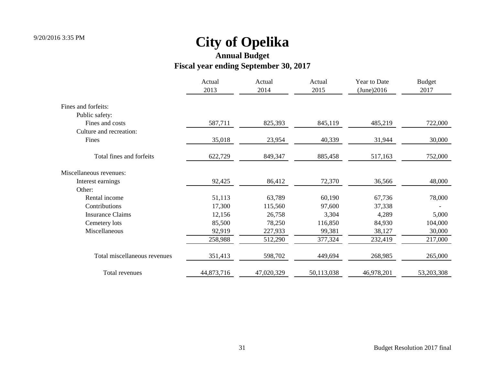|                              | Actual<br>2013 | Actual<br>2014 | Actual<br>2015 | Year to Date<br>(June)2016 | <b>Budget</b><br>2017 |
|------------------------------|----------------|----------------|----------------|----------------------------|-----------------------|
| Fines and forfeits:          |                |                |                |                            |                       |
| Public safety:               |                |                |                |                            |                       |
| Fines and costs              | 587,711        | 825,393        | 845,119        | 485,219                    | 722,000               |
| Culture and recreation:      |                |                |                |                            |                       |
| Fines                        | 35,018         | 23,954         | 40,339         | 31,944                     | 30,000                |
| Total fines and forfeits     | 622,729        | 849,347        | 885,458        | 517,163                    | 752,000               |
| Miscellaneous revenues:      |                |                |                |                            |                       |
| Interest earnings            | 92,425         | 86,412         | 72,370         | 36,566                     | 48,000                |
| Other:                       |                |                |                |                            |                       |
| Rental income                | 51,113         | 63,789         | 60,190         | 67,736                     | 78,000                |
| Contributions                | 17,300         | 115,560        | 97,600         | 37,338                     |                       |
| <b>Insurance Claims</b>      | 12,156         | 26,758         | 3,304          | 4,289                      | 5,000                 |
| Cemetery lots                | 85,500         | 78,250         | 116,850        | 84,930                     | 104,000               |
| Miscellaneous                | 92,919         | 227,933        | 99,381         | 38,127                     | 30,000                |
|                              | 258,988        | 512,290        | 377,324        | 232,419                    | 217,000               |
| Total miscellaneous revenues | 351,413        | 598,702        | 449,694        | 268,985                    | 265,000               |
| Total revenues               | 44,873,716     | 47,020,329     | 50,113,038     | 46,978,201                 | 53,203,308            |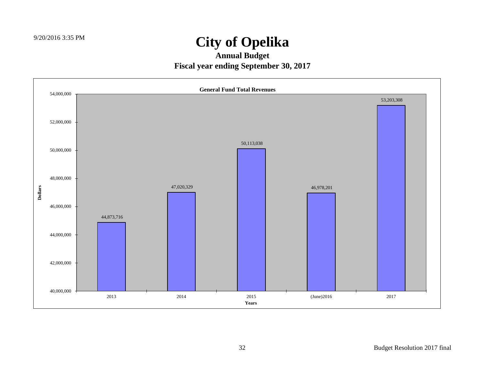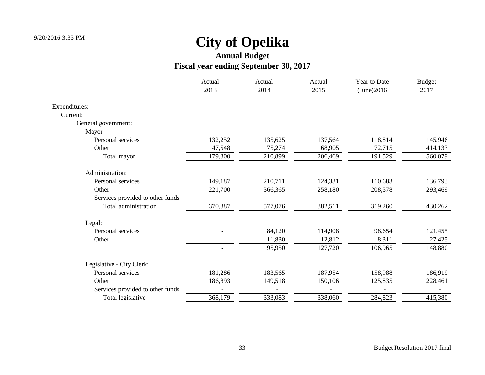|                                  | Actual<br>2013 | Actual<br>2014 | Actual<br>2015 | Year to Date<br>(June)2016 | <b>Budget</b><br>2017 |
|----------------------------------|----------------|----------------|----------------|----------------------------|-----------------------|
| Expenditures:                    |                |                |                |                            |                       |
| Current:                         |                |                |                |                            |                       |
| General government:              |                |                |                |                            |                       |
| Mayor                            |                |                |                |                            |                       |
| Personal services                | 132,252        | 135,625        | 137,564        | 118,814                    | 145,946               |
| Other                            | 47,548         | 75,274         | 68,905         | 72,715                     | 414,133               |
| Total mayor                      | 179,800        | 210,899        | 206,469        | 191,529                    | 560,079               |
| Administration:                  |                |                |                |                            |                       |
| Personal services                | 149,187        | 210,711        | 124,331        | 110,683                    | 136,793               |
| Other                            | 221,700        | 366,365        | 258,180        | 208,578                    | 293,469               |
| Services provided to other funds |                |                |                |                            |                       |
| Total administration             | 370,887        | 577,076        | 382,511        | 319,260                    | 430,262               |
| Legal:                           |                |                |                |                            |                       |
| Personal services                |                | 84,120         | 114,908        | 98,654                     | 121,455               |
| Other                            |                | 11,830         | 12,812         | 8,311                      | 27,425                |
|                                  |                | 95,950         | 127,720        | 106,965                    | 148,880               |
| Legislative - City Clerk:        |                |                |                |                            |                       |
| Personal services                | 181,286        | 183,565        | 187,954        | 158,988                    | 186,919               |
| Other                            | 186,893        | 149,518        | 150,106        | 125,835                    | 228,461               |
| Services provided to other funds |                |                |                |                            |                       |
| Total legislative                | 368,179        | 333,083        | 338,060        | 284,823                    | 415,380               |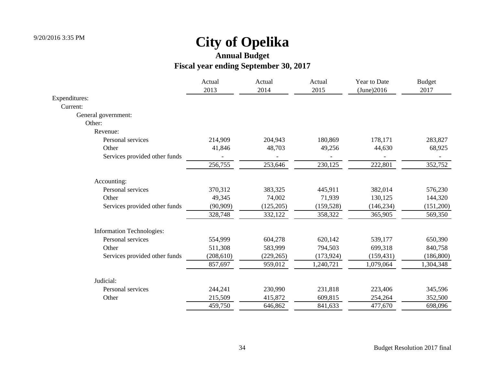|                               | Actual     | Actual     | Actual     | Year to Date | <b>Budget</b> |
|-------------------------------|------------|------------|------------|--------------|---------------|
|                               | 2013       | 2014       | 2015       | (June)2016   | 2017          |
| Expenditures:                 |            |            |            |              |               |
| Current:                      |            |            |            |              |               |
| General government:           |            |            |            |              |               |
| Other:                        |            |            |            |              |               |
| Revenue:                      |            |            |            |              |               |
| Personal services             | 214,909    | 204,943    | 180,869    | 178,171      | 283,827       |
| Other                         | 41,846     | 48,703     | 49,256     | 44,630       | 68,925        |
| Services provided other funds |            |            |            |              |               |
|                               | 256,755    | 253,646    | 230,125    | 222,801      | 352,752       |
| Accounting:                   |            |            |            |              |               |
| Personal services             | 370,312    | 383,325    | 445,911    | 382,014      | 576,230       |
| Other                         | 49,345     | 74,002     | 71,939     | 130,125      | 144,320       |
| Services provided other funds | (90, 909)  | (125, 205) | (159, 528) | (146, 234)   | (151,200)     |
|                               | 328,748    | 332,122    | 358,322    | 365,905      | 569,350       |
| Information Technologies:     |            |            |            |              |               |
| Personal services             | 554,999    | 604,278    | 620,142    | 539,177      | 650,390       |
| Other                         | 511,308    | 583,999    | 794,503    | 699,318      | 840,758       |
| Services provided other funds | (208, 610) | (229, 265) | (173, 924) | (159, 431)   | (186, 800)    |
|                               | 857,697    | 959,012    | 1,240,721  | 1,079,064    | 1,304,348     |
| Judicial:                     |            |            |            |              |               |
| Personal services             | 244,241    | 230,990    | 231,818    | 223,406      | 345,596       |
| Other                         | 215,509    | 415,872    | 609,815    | 254,264      | 352,500       |
|                               | 459,750    | 646,862    | 841,633    | 477,670      | 698,096       |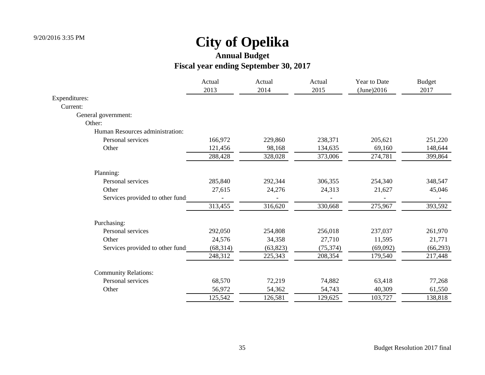|                                 | Actual    | Actual    | Actual    | Year to Date | <b>Budget</b> |
|---------------------------------|-----------|-----------|-----------|--------------|---------------|
|                                 | 2013      | 2014      | 2015      | (June)2016   | 2017          |
| Expenditures:                   |           |           |           |              |               |
| Current:                        |           |           |           |              |               |
| General government:             |           |           |           |              |               |
| Other:                          |           |           |           |              |               |
| Human Resources administration: |           |           |           |              |               |
| Personal services               | 166,972   | 229,860   | 238,371   | 205,621      | 251,220       |
| Other                           | 121,456   | 98,168    | 134,635   | 69,160       | 148,644       |
|                                 | 288,428   | 328,028   | 373,006   | 274,781      | 399,864       |
| Planning:                       |           |           |           |              |               |
| Personal services               | 285,840   | 292,344   | 306,355   | 254,340      | 348,547       |
| Other                           | 27,615    | 24,276    | 24,313    | 21,627       | 45,046        |
| Services provided to other fund |           |           |           |              |               |
|                                 | 313,455   | 316,620   | 330,668   | 275,967      | 393,592       |
| Purchasing:                     |           |           |           |              |               |
| Personal services               | 292,050   | 254,808   | 256,018   | 237,037      | 261,970       |
| Other                           | 24,576    | 34,358    | 27,710    | 11,595       | 21,771        |
| Services provided to other fund | (68, 314) | (63, 823) | (75, 374) | (69,092)     | (66, 293)     |
|                                 | 248,312   | 225,343   | 208,354   | 179,540      | 217,448       |
| <b>Community Relations:</b>     |           |           |           |              |               |
| Personal services               | 68,570    | 72,219    | 74,882    | 63,418       | 77,268        |
| Other                           | 56,972    | 54,362    | 54,743    | 40,309       | 61,550        |
|                                 | 125,542   | 126,581   | 129,625   | 103,727      | 138,818       |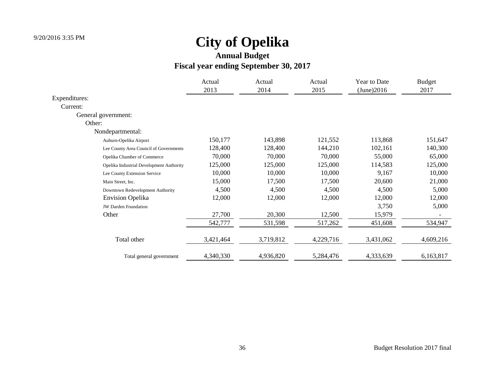|                                          | Actual<br>2013 | Actual<br>2014 | Actual<br>2015 | Year to Date<br>(June)2016 | <b>Budget</b><br>2017 |
|------------------------------------------|----------------|----------------|----------------|----------------------------|-----------------------|
| Expenditures:                            |                |                |                |                            |                       |
| Current:                                 |                |                |                |                            |                       |
| General government:                      |                |                |                |                            |                       |
| Other:                                   |                |                |                |                            |                       |
| Nondepartmental:                         |                |                |                |                            |                       |
| Auburn-Opelika Airport                   | 150,177        | 143,898        | 121,552        | 113,868                    | 151,647               |
| Lee County Area Council of Governments   | 128,400        | 128,400        | 144,210        | 102,161                    | 140,300               |
| Opelika Chamber of Commerce              | 70,000         | 70,000         | 70,000         | 55,000                     | 65,000                |
| Opelika Industrial Development Authority | 125,000        | 125,000        | 125,000        | 114,583                    | 125,000               |
| Lee County Extension Service             | 10,000         | 10,000         | 10,000         | 9,167                      | 10,000                |
| Main Street, Inc.                        | 15,000         | 17,500         | 17,500         | 20,600                     | 21,000                |
| Downtown Redevelopment Authority         | 4,500          | 4,500          | 4,500          | 4,500                      | 5,000                 |
| <b>Envision Opelika</b>                  | 12,000         | 12,000         | 12,000         | 12,000                     | 12,000                |
| <b>JW Darden Foundation</b>              |                |                |                | 3,750                      | 5,000                 |
| Other                                    | 27,700         | 20,300         | 12,500         | 15,979                     |                       |
|                                          | 542,777        | 531,598        | 517,262        | 451,608                    | 534,947               |
| Total other                              | 3,421,464      | 3,719,812      | 4,229,716      | 3,431,062                  | 4,609,216             |
| Total general government                 | 4,340,330      | 4,936,820      | 5,284,476      | 4,333,639                  | 6,163,817             |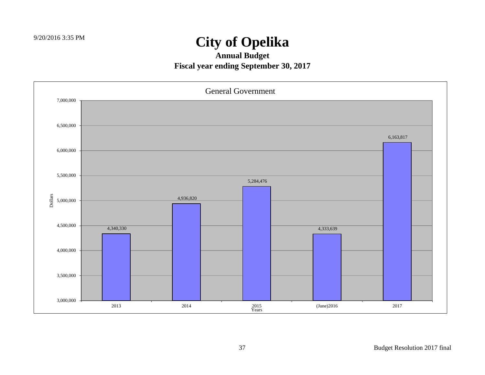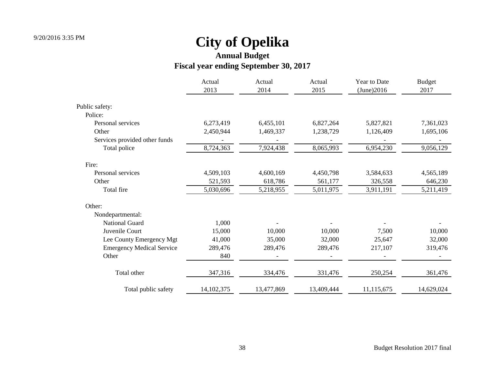# **Annual Budget**

### **Fiscal year ending September 30, 2017**

|                                  | Actual       | Actual     | Actual     | Year to Date | <b>Budget</b> |
|----------------------------------|--------------|------------|------------|--------------|---------------|
|                                  | 2013         | 2014       | 2015       | (June)2016   | 2017          |
| Public safety:                   |              |            |            |              |               |
| Police:                          |              |            |            |              |               |
| Personal services                | 6,273,419    | 6,455,101  | 6,827,264  | 5,827,821    | 7,361,023     |
| Other                            | 2,450,944    | 1,469,337  | 1,238,729  | 1,126,409    | 1,695,106     |
| Services provided other funds    |              |            |            |              |               |
| Total police                     | 8,724,363    | 7,924,438  | 8,065,993  | 6,954,230    | 9,056,129     |
| Fire:                            |              |            |            |              |               |
| Personal services                | 4,509,103    | 4,600,169  | 4,450,798  | 3,584,633    | 4,565,189     |
| Other                            | 521,593      | 618,786    | 561,177    | 326,558      | 646,230       |
| Total fire                       | 5,030,696    | 5,218,955  | 5,011,975  | 3,911,191    | 5,211,419     |
| Other:                           |              |            |            |              |               |
| Nondepartmental:                 |              |            |            |              |               |
| <b>National Guard</b>            | 1,000        |            |            |              |               |
| Juvenile Court                   | 15,000       | 10,000     | 10,000     | 7,500        | 10,000        |
| Lee County Emergency Mgt         | 41,000       | 35,000     | 32,000     | 25,647       | 32,000        |
| <b>Emergency Medical Service</b> | 289,476      | 289,476    | 289,476    | 217,107      | 319,476       |
| Other                            | 840          |            |            |              |               |
| Total other                      | 347,316      | 334,476    | 331,476    | 250,254      | 361,476       |
| Total public safety              | 14, 102, 375 | 13,477,869 | 13,409,444 | 11,115,675   | 14,629,024    |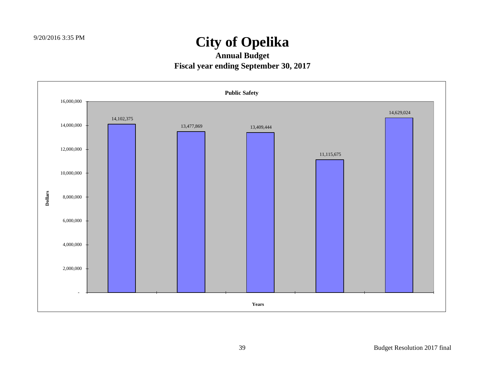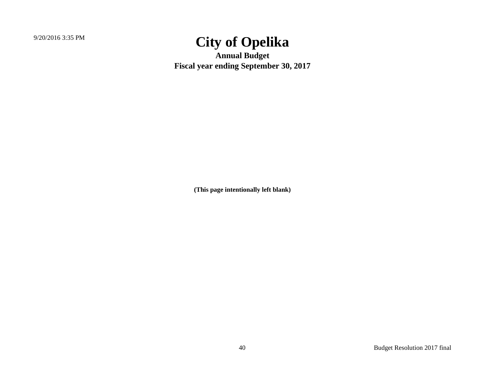**Annual Budget Fiscal year ending September 30, 2017**

**(This page intentionally left blank)**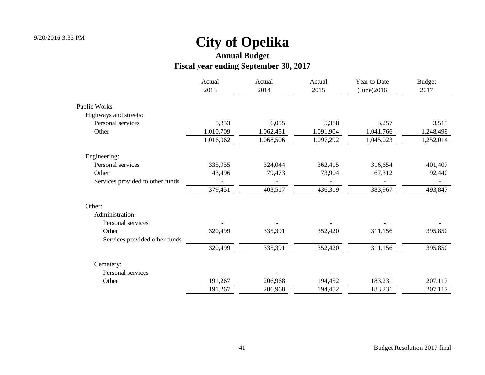|                                  | Actual<br>2013 | Actual<br>2014 | Actual<br>2015 | Year to Date<br>(June)2016 | <b>Budget</b><br>2017 |
|----------------------------------|----------------|----------------|----------------|----------------------------|-----------------------|
| Public Works:                    |                |                |                |                            |                       |
| Highways and streets:            |                |                |                |                            |                       |
| Personal services                | 5,353          | 6,055          | 5,388          | 3,257                      | 3,515                 |
| Other                            | 1,010,709      | 1,062,451      | 1,091,904      | 1,041,766                  | 1,248,499             |
|                                  | 1,016,062      | 1,068,506      | 1,097,292      | 1,045,023                  | 1,252,014             |
| Engineering:                     |                |                |                |                            |                       |
| Personal services                | 335,955        | 324,044        | 362,415        | 316,654                    | 401,407               |
| Other                            | 43,496         | 79,473         | 73,904         | 67,312                     | 92,440                |
| Services provided to other funds |                |                |                |                            |                       |
|                                  | 379,451        | 403,517        | 436,319        | 383,967                    | 493,847               |
| Other:                           |                |                |                |                            |                       |
| Administration:                  |                |                |                |                            |                       |
| Personal services                |                |                |                |                            |                       |
| Other                            | 320,499        | 335,391        | 352,420        | 311,156                    | 395,850               |
| Services provided other funds    |                |                |                |                            |                       |
|                                  | 320,499        | 335,391        | 352,420        | 311,156                    | 395,850               |
| Cemetery:                        |                |                |                |                            |                       |
| Personal services                |                |                |                |                            |                       |
| Other                            | 191,267        | 206,968        | 194,452        | 183,231                    | 207,117               |
|                                  | 191,267        | 206,968        | 194,452        | 183,231                    | 207,117               |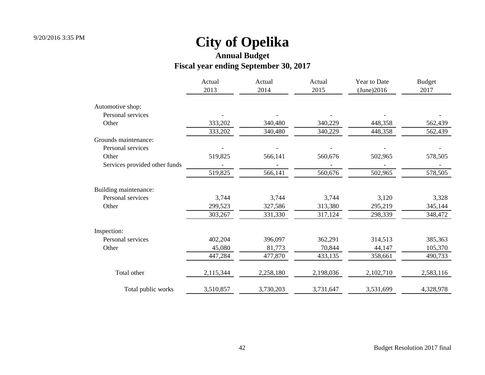|                               | Actual<br>2013 | Actual<br>2014 | Actual<br>2015 | Year to Date<br>(June)2016 | <b>Budget</b><br>2017 |
|-------------------------------|----------------|----------------|----------------|----------------------------|-----------------------|
| Automotive shop:              |                |                |                |                            |                       |
| Personal services             |                |                |                |                            |                       |
| Other                         | 333,202        | 340,480        | 340,229        | 448,358                    | 562,439               |
|                               | 333,202        | 340,480        | 340,229        | 448,358                    | 562,439               |
| Grounds maintenance:          |                |                |                |                            |                       |
| Personal services             |                |                |                |                            |                       |
| Other                         | 519,825        | 566,141        | 560,676        | 502,965                    | 578,505               |
| Services provided other funds |                |                |                |                            |                       |
|                               | 519,825        | 566,141        | 560,676        | 502,965                    | 578,505               |
| Building maintenance:         |                |                |                |                            |                       |
| Personal services             | 3,744          | 3,744          | 3,744          | 3,120                      | 3,328                 |
| Other                         | 299,523        | 327,586        | 313,380        | 295,219                    | 345,144               |
|                               | 303,267        | 331,330        | 317,124        | 298,339                    | 348,472               |
| Inspection:                   |                |                |                |                            |                       |
| Personal services             | 402,204        | 396,097        | 362,291        | 314,513                    | 385,363               |
| Other                         | 45,080         | 81,773         | 70,844         | 44,147                     | 105,370               |
|                               | 447,284        | 477,870        | 433,135        | 358,661                    | 490,733               |
| Total other                   | 2,115,344      | 2,258,180      | 2,198,036      | 2,102,710                  | 2,583,116             |
| Total public works            | 3,510,857      | 3,730,203      | 3,731,647      | 3,531,699                  | 4,328,978             |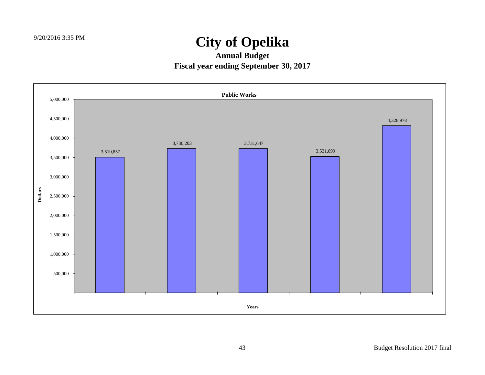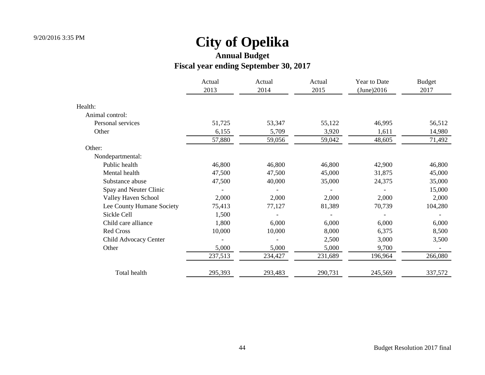|                           | Actual<br>2013 | Actual<br>2014 | Actual<br>2015 | Year to Date<br>(June)2016 | <b>Budget</b><br>2017 |
|---------------------------|----------------|----------------|----------------|----------------------------|-----------------------|
| Health:                   |                |                |                |                            |                       |
| Animal control:           |                |                |                |                            |                       |
| Personal services         | 51,725         | 53,347         | 55,122         | 46,995                     | 56,512                |
| Other                     | 6,155          | 5,709          | 3,920          | 1,611                      | 14,980                |
|                           | 57,880         | 59,056         | 59,042         | 48,605                     | 71,492                |
| Other:                    |                |                |                |                            |                       |
| Nondepartmental:          |                |                |                |                            |                       |
| Public health             | 46,800         | 46,800         | 46,800         | 42,900                     | 46,800                |
| Mental health             | 47,500         | 47,500         | 45,000         | 31,875                     | 45,000                |
| Substance abuse           | 47,500         | 40,000         | 35,000         | 24,375                     | 35,000                |
| Spay and Neuter Clinic    |                |                |                |                            | 15,000                |
| Valley Haven School       | 2,000          | 2,000          | 2,000          | 2,000                      | 2,000                 |
| Lee County Humane Society | 75,413         | 77,127         | 81,389         | 70,739                     | 104,280               |
| Sickle Cell               | 1,500          |                |                |                            |                       |
| Child care alliance       | 1,800          | 6,000          | 6,000          | 6,000                      | 6,000                 |
| Red Cross                 | 10,000         | 10,000         | 8,000          | 6,375                      | 8,500                 |
| Child Advocacy Center     |                |                | 2,500          | 3,000                      | 3,500                 |
| Other                     | 5,000          | 5,000          | 5,000          | 9,700                      |                       |
|                           | 237,513        | 234,427        | 231,689        | 196,964                    | 266,080               |
| Total health              | 295,393        | 293,483        | 290,731        | 245,569                    | 337,572               |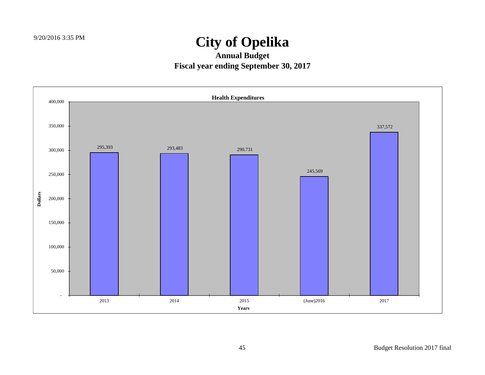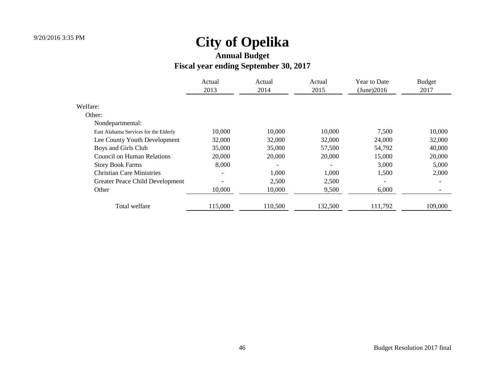|                                       | Actual<br>2013           | Actual<br>2014 | Actual<br>2015 | Year to Date<br>(June)2016 | <b>Budget</b><br>2017    |  |
|---------------------------------------|--------------------------|----------------|----------------|----------------------------|--------------------------|--|
| Welfare:                              |                          |                |                |                            |                          |  |
| Other:                                |                          |                |                |                            |                          |  |
| Nondepartmental:                      |                          |                |                |                            |                          |  |
| East Alabama Services for the Elderly | 10,000                   | 10,000         | 10,000         | 7,500                      | 10,000                   |  |
| Lee County Youth Development          | 32,000                   | 32,000         | 32,000         | 24,000                     | 32,000                   |  |
| Boys and Girls Club                   | 35,000                   | 35,000         | 57,500         | 54,792                     | 40,000                   |  |
| <b>Council on Human Relations</b>     | 20,000                   | 20,000         | 20,000         | 15,000                     | 20,000                   |  |
| <b>Story Book Farms</b>               | 8,000                    |                |                | 3,000                      | 5,000                    |  |
| <b>Christian Care Ministries</b>      | $\overline{\phantom{0}}$ | 1,000          | 1,000          | 1,500                      | 2,000                    |  |
| Greater Peace Child Development       |                          | 2,500          | 2,500          | $\overline{\phantom{a}}$   | $\overline{\phantom{a}}$ |  |
| Other                                 | 10,000                   | 10,000         | 9,500          | 6,000                      | $\overline{\phantom{a}}$ |  |
| Total welfare                         | 115,000                  | 110,500        | 132,500        | 111,792                    | 109,000                  |  |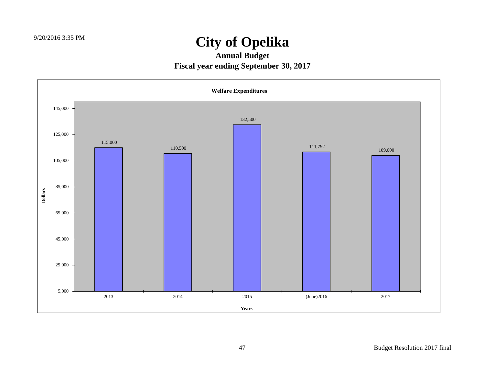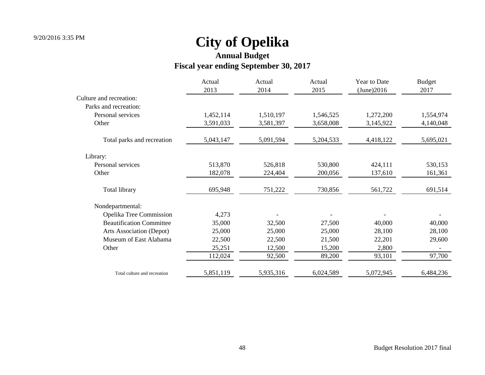|                                 | Actual    | Actual    | Actual    | Year to Date | <b>Budget</b> |
|---------------------------------|-----------|-----------|-----------|--------------|---------------|
|                                 | 2013      | 2014      | 2015      | (June)2016   | 2017          |
| Culture and recreation:         |           |           |           |              |               |
| Parks and recreation:           |           |           |           |              |               |
| Personal services               | 1,452,114 | 1,510,197 | 1,546,525 | 1,272,200    | 1,554,974     |
| Other                           | 3,591,033 | 3,581,397 | 3,658,008 | 3,145,922    | 4,140,048     |
| Total parks and recreation      | 5,043,147 | 5,091,594 | 5,204,533 | 4,418,122    | 5,695,021     |
| Library:                        |           |           |           |              |               |
| Personal services               | 513,870   | 526,818   | 530,800   | 424,111      | 530,153       |
| Other                           | 182,078   | 224,404   | 200,056   | 137,610      | 161,361       |
| Total library                   | 695,948   | 751,222   | 730,856   | 561,722      | 691,514       |
| Nondepartmental:                |           |           |           |              |               |
| Opelika Tree Commission         | 4,273     |           |           |              |               |
| <b>Beautification Committee</b> | 35,000    | 32,500    | 27,500    | 40,000       | 40,000        |
| Arts Association (Depot)        | 25,000    | 25,000    | 25,000    | 28,100       | 28,100        |
| Museum of East Alabama          | 22,500    | 22,500    | 21,500    | 22,201       | 29,600        |
| Other                           | 25,251    | 12,500    | 15,200    | 2,800        |               |
|                                 | 112,024   | 92,500    | 89,200    | 93,101       | 97,700        |
| Total culture and recreation    | 5,851,119 | 5,935,316 | 6,024,589 | 5,072,945    | 6,484,236     |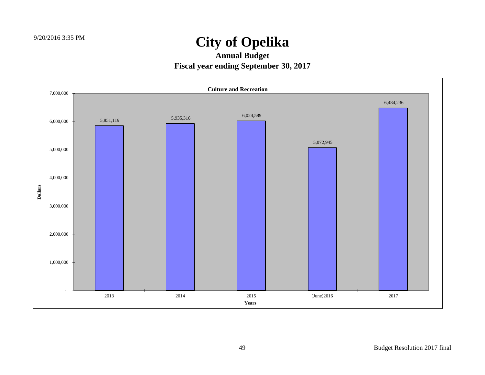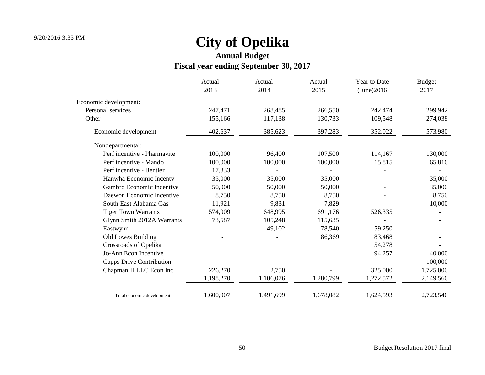**Annual Budget**

### **Fiscal year ending September 30, 2017**

|                             | Actual    | Actual    | Actual    | Year to Date | <b>Budget</b> |  |
|-----------------------------|-----------|-----------|-----------|--------------|---------------|--|
|                             | 2013      | 2014      | 2015      | (June)2016   | 2017          |  |
| Economic development:       |           |           |           |              |               |  |
| Personal services           | 247,471   | 268,485   | 266,550   | 242,474      | 299,942       |  |
| Other                       | 155,166   | 117,138   | 130,733   | 109,548      | 274,038       |  |
| Economic development        | 402,637   | 385,623   | 397,283   | 352,022      | 573,980       |  |
| Nondepartmental:            |           |           |           |              |               |  |
| Perf incentive - Pharmavite | 100,000   | 96,400    | 107,500   | 114,167      | 130,000       |  |
| Perf incentive - Mando      | 100,000   | 100,000   | 100,000   | 15,815       | 65,816        |  |
| Perf incentive - Bentler    | 17,833    |           |           |              |               |  |
| Hanwha Economic Incenty     | 35,000    | 35,000    | 35,000    |              | 35,000        |  |
| Gambro Economic Incentive   | 50,000    | 50,000    | 50,000    |              | 35,000        |  |
| Daewon Economic Incentive   | 8,750     | 8,750     | 8,750     |              | 8,750         |  |
| South East Alabama Gas      | 11,921    | 9,831     | 7,829     |              | 10,000        |  |
| <b>Tiger Town Warrants</b>  | 574,909   | 648,995   | 691,176   | 526,335      |               |  |
| Glynn Smith 2012A Warrants  | 73,587    | 105,248   | 115,635   |              |               |  |
| Eastwynn                    |           | 49,102    | 78,540    | 59,250       |               |  |
| Old Lowes Building          |           |           | 86,369    | 83,468       |               |  |
| Crossroads of Opelika       |           |           |           | 54,278       |               |  |
| Jo-Ann Econ Incentive       |           |           |           | 94,257       | 40,000        |  |
| Capps Drive Contribution    |           |           |           |              | 100,000       |  |
| Chapman H LLC Econ Inc      | 226,270   | 2,750     |           | 325,000      | 1,725,000     |  |
|                             | 1,198,270 | 1,106,076 | 1,280,799 | 1,272,572    | 2,149,566     |  |
| Total economic development  | 1,600,907 | 1,491,699 | 1,678,082 | 1,624,593    | 2,723,546     |  |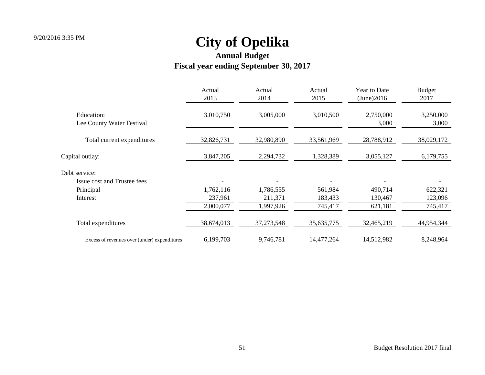|                                              | Actual<br>2013 | Actual<br>2014 | Actual<br>2015 | Year to Date<br>(June)2016 | <b>Budget</b><br>2017 |
|----------------------------------------------|----------------|----------------|----------------|----------------------------|-----------------------|
| Education:<br>Lee County Water Festival      | 3,010,750      | 3,005,000      | 3,010,500      | 2,750,000<br>3,000         | 3,250,000<br>3,000    |
| Total current expenditures                   | 32,826,731     | 32,980,890     | 33,561,969     | 28,788,912                 | 38,029,172            |
| Capital outlay:                              | 3,847,205      | 2,294,732      | 1,328,389      | 3,055,127                  | 6,179,755             |
| Debt service:                                |                |                |                |                            |                       |
| <b>Issue cost and Trustee fees</b>           |                |                |                |                            |                       |
| Principal                                    | 1,762,116      | 1,786,555      | 561,984        | 490,714                    | 622,321               |
| Interest                                     | 237,961        | 211,371        | 183,433        | 130,467                    | 123,096               |
|                                              | 2,000,077      | 1,997,926      | 745,417        | 621,181                    | 745,417               |
| Total expenditures                           | 38,674,013     | 37, 273, 548   | 35, 635, 775   | 32,465,219                 | 44,954,344            |
| Excess of revenues over (under) expenditures | 6,199,703      | 9,746,781      | 14,477,264     | 14,512,982                 | 8,248,964             |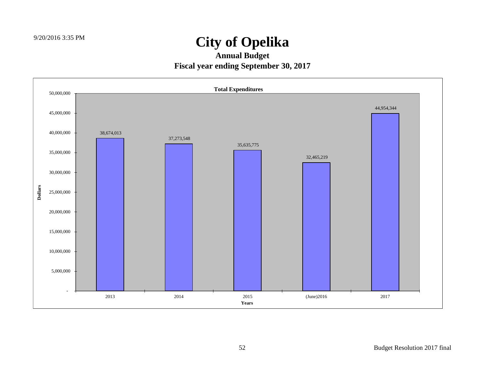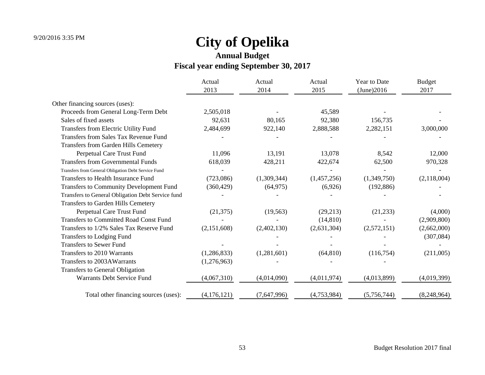|                                                     | Actual<br>2013 | Actual<br>2014 | Actual<br>2015 | Year to Date<br>(June)2016 | <b>Budget</b><br>2017 |
|-----------------------------------------------------|----------------|----------------|----------------|----------------------------|-----------------------|
|                                                     |                |                |                |                            |                       |
| Other financing sources (uses):                     |                |                |                |                            |                       |
| Proceeds from General Long-Term Debt                | 2,505,018      |                | 45,589         |                            |                       |
| Sales of fixed assets                               | 92,631         | 80,165         | 92,380         | 156,735                    |                       |
| Transfers from Electric Utility Fund                | 2,484,699      | 922,140        | 2,888,588      | 2,282,151                  | 3,000,000             |
| <b>Transfers from Sales Tax Revenue Fund</b>        |                |                |                |                            |                       |
| Transfers from Garden Hills Cemetery                |                |                |                |                            |                       |
| Perpetual Care Trust Fund                           | 11,096         | 13,191         | 13,078         | 8,542                      | 12,000                |
| <b>Transfers from Governmental Funds</b>            | 618,039        | 428,211        | 422,674        | 62,500                     | 970,328               |
| Transfers from General Obligation Debt Service Fund |                |                |                |                            |                       |
| Transfers to Health Insurance Fund                  | (723,086)      | (1,309,344)    | (1,457,256)    | (1,349,750)                | (2,118,004)           |
| Transfers to Community Development Fund             | (360, 429)     | (64, 975)      | (6,926)        | (192, 886)                 |                       |
| Transfers to General Obligation Debt Service fund   |                |                |                |                            |                       |
| <b>Transfers to Garden Hills Cemetery</b>           |                |                |                |                            |                       |
| Perpetual Care Trust Fund                           | (21, 375)      | (19, 563)      | (29,213)       | (21,233)                   | (4,000)               |
| <b>Transfers to Committed Road Const Fund</b>       |                |                | (14, 810)      |                            | (2,909,800)           |
| Transfers to 1/2% Sales Tax Reserve Fund            | (2,151,608)    | (2,402,130)    | (2,631,304)    | (2,572,151)                | (2,662,000)           |
| Transfers to Lodging Fund                           |                |                |                |                            | (307, 084)            |
| <b>Transfers to Sewer Fund</b>                      |                |                |                |                            |                       |
| Transfers to 2010 Warrants                          | (1,286,833)    | (1,281,601)    | (64, 810)      | (116,754)                  | (211,005)             |
| Transfers to 2003AWarrants                          | (1,276,963)    |                |                |                            |                       |
| <b>Transfers to General Obligation</b>              |                |                |                |                            |                       |
| Warrants Debt Service Fund                          | (4,067,310)    | (4,014,090)    | (4,011,974)    | (4,013,899)                | (4,019,399)           |
| Total other financing sources (uses):               | (4,176,121)    | (7,647,996)    | (4,753,984)    | (5,756,744)                | (8,248,964)           |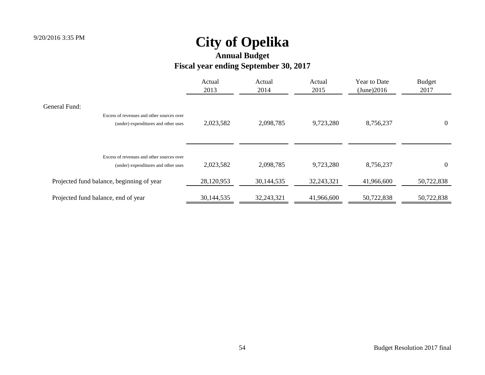|                                                                                                   | Actual<br>2013 | Actual<br>2014 | Actual<br>2015 | Year to Date<br>(June)2016 | <b>Budget</b><br>2017 |
|---------------------------------------------------------------------------------------------------|----------------|----------------|----------------|----------------------------|-----------------------|
| General Fund:<br>Excess of revenues and other sources over<br>(under) expenditures and other uses | 2,023,582      | 2,098,785      | 9,723,280      | 8,756,237                  | $\theta$              |
| Excess of revenues and other sources over<br>(under) expenditures and other uses                  | 2,023,582      | 2,098,785      | 9,723,280      | 8,756,237                  | $\Omega$              |
| Projected fund balance, beginning of year                                                         | 28,120,953     | 30,144,535     | 32,243,321     | 41,966,600                 | 50,722,838            |
| Projected fund balance, end of year                                                               | 30,144,535     | 32, 243, 321   | 41,966,600     | 50,722,838                 | 50,722,838            |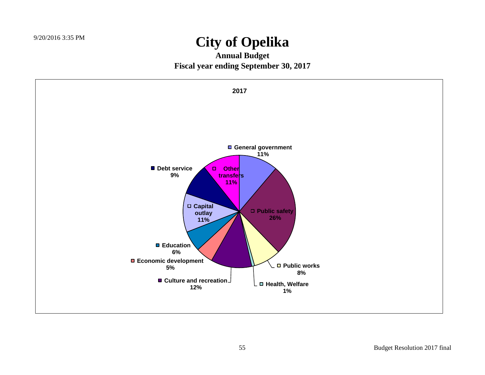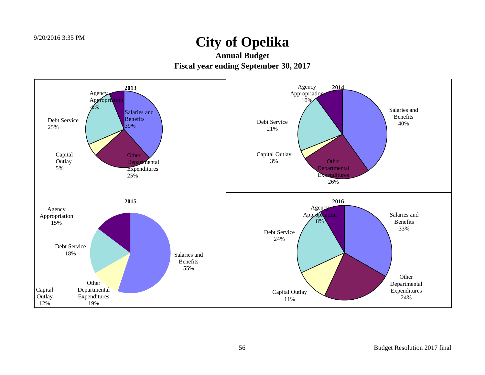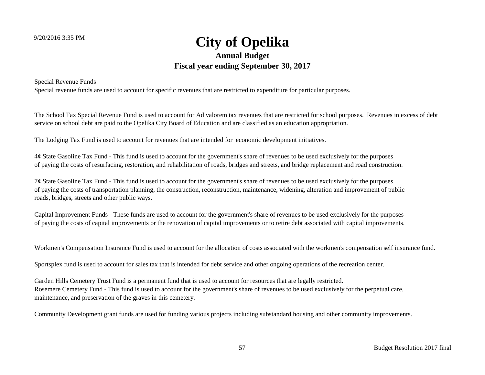### 9/20/2016 3:35 PM **City of Opelika Annual Budget Fiscal year ending September 30, 2017**

Special Revenue Funds

Special revenue funds are used to account for specific revenues that are restricted to expenditure for particular purposes.

The School Tax Special Revenue Fund is used to account for Ad valorem tax revenues that are restricted for school purposes. Revenues in excess of debt service on school debt are paid to the Opelika City Board of Education and are classified as an education appropriation.

The Lodging Tax Fund is used to account for revenues that are intended for economic development initiatives.

4¢ State Gasoline Tax Fund - This fund is used to account for the government's share of revenues to be used exclusively for the purposes of paying the costs of resurfacing, restoration, and rehabilitation of roads, bridges and streets, and bridge replacement and road construction.

7¢ State Gasoline Tax Fund - This fund is used to account for the government's share of revenues to be used exclusively for the purposes of paying the costs of transportation planning, the construction, reconstruction, maintenance, widening, alteration and improvement of public roads, bridges, streets and other public ways.

Capital Improvement Funds - These funds are used to account for the government's share of revenues to be used exclusively for the purposes of paying the costs of capital improvements or the renovation of capital improvements or to retire debt associated with capital improvements.

Workmen's Compensation Insurance Fund is used to account for the allocation of costs associated with the workmen's compensation self insurance fund.

Sportsplex fund is used to account for sales tax that is intended for debt service and other ongoing operations of the recreation center.

Garden Hills Cemetery Trust Fund is a permanent fund that is used to account for resources that are legally restricted. Rosemere Cemetery Fund - This fund is used to account for the government's share of revenues to be used exclusively for the perpetual care, maintenance, and preservation of the graves in this cemetery.

Community Development grant funds are used for funding various projects including substandard housing and other community improvements.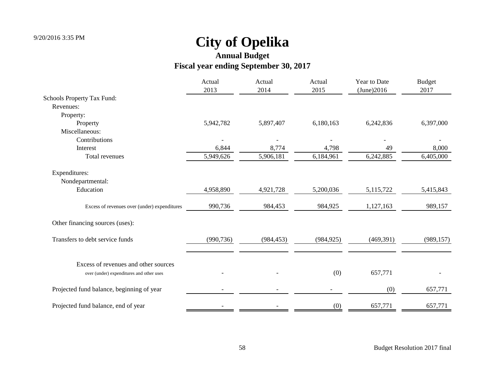|                                              | Actual<br>2013 | Actual<br>2014 | Actual<br>2015           | Year to Date<br>(June)2016 | <b>Budget</b><br>2017 |
|----------------------------------------------|----------------|----------------|--------------------------|----------------------------|-----------------------|
| Schools Property Tax Fund:                   |                |                |                          |                            |                       |
| Revenues:                                    |                |                |                          |                            |                       |
| Property:                                    |                |                |                          |                            |                       |
| Property                                     | 5,942,782      | 5,897,407      | 6,180,163                | 6,242,836                  | 6,397,000             |
| Miscellaneous:                               |                |                |                          |                            |                       |
| Contributions                                |                |                |                          |                            |                       |
| Interest                                     | 6,844          | 8,774          | 4,798                    | 49                         | 8,000                 |
| Total revenues                               | 5,949,626      | 5,906,181      | 6,184,961                | 6,242,885                  | 6,405,000             |
| Expenditures:                                |                |                |                          |                            |                       |
| Nondepartmental:                             |                |                |                          |                            |                       |
| Education                                    | 4,958,890      | 4,921,728      | 5,200,036                | 5,115,722                  | 5,415,843             |
| Excess of revenues over (under) expenditures | 990,736        | 984,453        | 984,925                  | 1,127,163                  | 989,157               |
| Other financing sources (uses):              |                |                |                          |                            |                       |
| Transfers to debt service funds              | (990, 736)     | (984, 453)     | (984, 925)               | (469,391)                  | (989, 157)            |
| Excess of revenues and other sources         |                |                |                          |                            |                       |
| over (under) expenditures and other uses     |                |                | (0)                      | 657,771                    |                       |
| Projected fund balance, beginning of year    |                |                | $\overline{\phantom{a}}$ | (0)                        | 657,771               |
| Projected fund balance, end of year          |                |                | (0)                      | 657,771                    | 657,771               |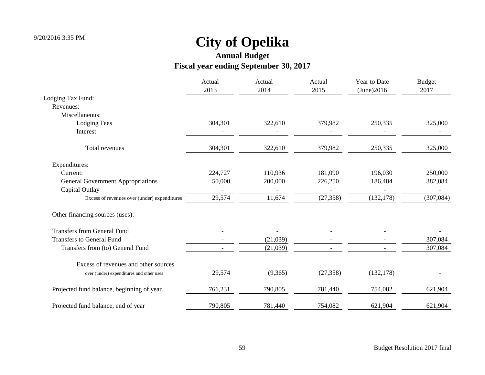|                                              | Actual<br>2013 | Actual<br>2014 | Actual<br>2015 | Year to Date<br>(June)2016 | <b>Budget</b><br>2017 |
|----------------------------------------------|----------------|----------------|----------------|----------------------------|-----------------------|
| Lodging Tax Fund:                            |                |                |                |                            |                       |
| Revenues:                                    |                |                |                |                            |                       |
| Miscellaneous:                               |                |                |                |                            |                       |
| <b>Lodging Fees</b>                          | 304,301        | 322,610        | 379,982        | 250,335                    | 325,000               |
| Interest                                     |                |                |                |                            |                       |
| Total revenues                               | 304,301        | 322,610        | 379,982        | 250,335                    | 325,000               |
| Expenditures:                                |                |                |                |                            |                       |
| Current:                                     | 224,727        | 110,936        | 181,090        | 196,030                    | 250,000               |
| <b>General Government Appropriations</b>     | 50,000         | 200,000        | 226,250        | 186,484                    | 382,084               |
| Capital Outlay                               |                |                |                |                            |                       |
| Excess of revenues over (under) expenditures | 29,574         | 11,674         | (27, 358)      | (132, 178)                 | (307, 084)            |
| Other financing sources (uses):              |                |                |                |                            |                       |
| <b>Transfers from General Fund</b>           |                |                |                |                            |                       |
| <b>Transfers to General Fund</b>             |                | (21,039)       |                |                            | 307,084               |
| Transfers from (to) General Fund             |                | (21,039)       |                |                            | 307,084               |
| Excess of revenues and other sources         |                |                |                |                            |                       |
| over (under) expenditures and other uses     | 29,574         | (9,365)        | (27, 358)      | (132, 178)                 |                       |
| Projected fund balance, beginning of year    | 761,231        | 790,805        | 781,440        | 754,082                    | 621,904               |
| Projected fund balance, end of year          | 790,805        | 781,440        | 754,082        | 621,904                    | 621,904               |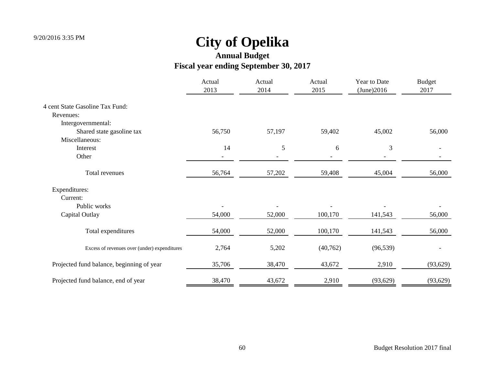|                                              | Actual<br>2013           | Actual<br>2014 | Actual<br>2015 | Year to Date<br>(June)2016 | <b>Budget</b><br>2017 |
|----------------------------------------------|--------------------------|----------------|----------------|----------------------------|-----------------------|
| 4 cent State Gasoline Tax Fund:              |                          |                |                |                            |                       |
| Revenues:                                    |                          |                |                |                            |                       |
| Intergovernmental:                           |                          |                |                |                            |                       |
| Shared state gasoline tax                    | 56,750                   | 57,197         | 59,402         | 45,002                     | 56,000                |
| Miscellaneous:                               |                          |                |                |                            |                       |
| Interest                                     | 14                       | 5              | 6              | 3                          |                       |
| Other                                        | $\overline{\phantom{a}}$ |                |                |                            |                       |
| Total revenues                               | 56,764                   | 57,202         | 59,408         | 45,004                     | 56,000                |
| Expenditures:                                |                          |                |                |                            |                       |
| Current:                                     |                          |                |                |                            |                       |
| Public works                                 |                          |                |                |                            |                       |
| Capital Outlay                               | 54,000                   | 52,000         | 100,170        | 141,543                    | 56,000                |
| Total expenditures                           | 54,000                   | 52,000         | 100,170        | 141,543                    | 56,000                |
| Excess of revenues over (under) expenditures | 2,764                    | 5,202          | (40, 762)      | (96, 539)                  |                       |
| Projected fund balance, beginning of year    | 35,706                   | 38,470         | 43,672         | 2,910                      | (93, 629)             |
| Projected fund balance, end of year          | 38,470                   | 43,672         | 2,910          | (93, 629)                  | (93, 629)             |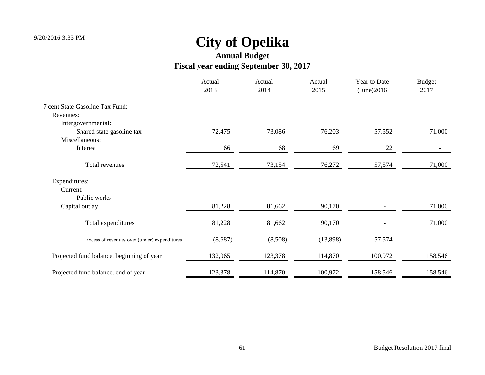|                                              | Actual<br>2013 | Actual<br>2014 | Actual<br>2015 | Year to Date<br>(June)2016 | <b>Budget</b><br>2017 |
|----------------------------------------------|----------------|----------------|----------------|----------------------------|-----------------------|
| 7 cent State Gasoline Tax Fund:              |                |                |                |                            |                       |
| Revenues:                                    |                |                |                |                            |                       |
| Intergovernmental:                           |                |                |                |                            |                       |
| Shared state gasoline tax                    | 72,475         | 73,086         | 76,203         | 57,552                     | 71,000                |
| Miscellaneous:                               |                |                |                |                            |                       |
| Interest                                     | 66             | 68             | 69             | 22                         |                       |
| Total revenues                               | 72,541         | 73,154         | 76,272         | 57,574                     | 71,000                |
| Expenditures:                                |                |                |                |                            |                       |
| Current:                                     |                |                |                |                            |                       |
| Public works                                 |                |                |                |                            |                       |
| Capital outlay                               | 81,228         | 81,662         | 90,170         |                            | 71,000                |
| Total expenditures                           | 81,228         | 81,662         | 90,170         |                            | 71,000                |
| Excess of revenues over (under) expenditures | (8,687)        | (8,508)        | (13,898)       | 57,574                     |                       |
| Projected fund balance, beginning of year    | 132,065        | 123,378        | 114,870        | 100,972                    | 158,546               |
| Projected fund balance, end of year          | 123,378        | 114,870        | 100,972        | 158,546                    | 158,546               |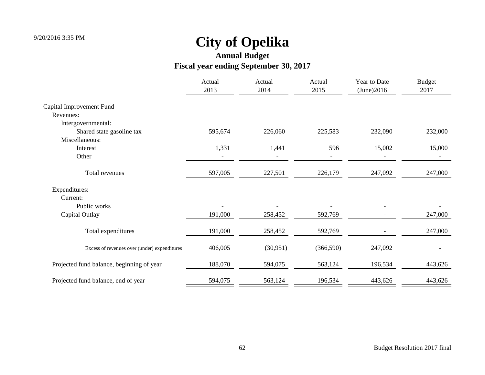|                                              | Actual<br>2013 | Actual<br>2014 | Actual<br>2015           | Year to Date<br>(June)2016 | <b>Budget</b><br>2017 |
|----------------------------------------------|----------------|----------------|--------------------------|----------------------------|-----------------------|
| Capital Improvement Fund                     |                |                |                          |                            |                       |
| Revenues:                                    |                |                |                          |                            |                       |
| Intergovernmental:                           |                |                |                          |                            |                       |
| Shared state gasoline tax                    | 595,674        | 226,060        | 225,583                  | 232,090                    | 232,000               |
| Miscellaneous:                               |                |                |                          |                            |                       |
| Interest                                     | 1,331          | 1,441          | 596                      | 15,002                     | 15,000                |
| Other                                        |                |                | $\overline{\phantom{0}}$ |                            |                       |
| Total revenues                               | 597,005        | 227,501        | 226,179                  | 247,092                    | 247,000               |
| Expenditures:                                |                |                |                          |                            |                       |
| Current:                                     |                |                |                          |                            |                       |
| Public works                                 |                |                |                          |                            |                       |
| Capital Outlay                               | 191,000        | 258,452        | 592,769                  |                            | 247,000               |
| Total expenditures                           | 191,000        | 258,452        | 592,769                  |                            | 247,000               |
| Excess of revenues over (under) expenditures | 406,005        | (30, 951)      | (366, 590)               | 247,092                    |                       |
| Projected fund balance, beginning of year    | 188,070        | 594,075        | 563,124                  | 196,534                    | 443,626               |
| Projected fund balance, end of year          | 594,075        | 563,124        | 196,534                  | 443,626                    | 443,626               |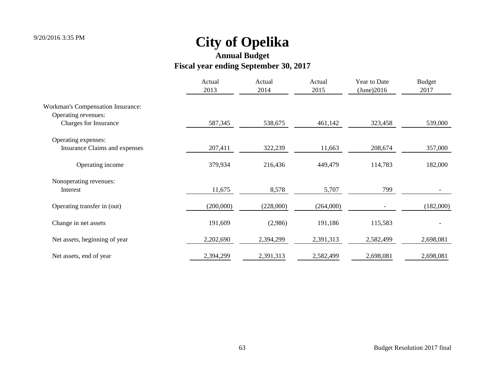|                                          | Actual<br>2013 | Actual<br>2014 | Actual<br>2015 | Year to Date<br>(June)2016 | <b>Budget</b><br>2017 |
|------------------------------------------|----------------|----------------|----------------|----------------------------|-----------------------|
| <b>Workman's Compensation Insurance:</b> |                |                |                |                            |                       |
| Operating revenues:                      |                |                |                |                            |                       |
| Charges for Insurance                    | 587,345        | 538,675        | 461,142        | 323,458                    | 539,000               |
| Operating expenses:                      |                |                |                |                            |                       |
| Insurance Claims and expenses            | 207,411        | 322,239        | 11,663         | 208,674                    | 357,000               |
| Operating income                         | 379,934        | 216,436        | 449,479        | 114,783                    | 182,000               |
| Nonoperating revenues:                   |                |                |                |                            |                       |
| Interest                                 | 11,675         | 8,578          | 5,707          | 799                        |                       |
| Operating transfer in (out)              | (200,000)      | (228,000)      | (264,000)      |                            | (182,000)             |
| Change in net assets                     | 191,609        | (2,986)        | 191,186        | 115,583                    |                       |
| Net assets, beginning of year            | 2,202,690      | 2,394,299      | 2,391,313      | 2,582,499                  | 2,698,081             |
| Net assets, end of year                  | 2,394,299      | 2,391,313      | 2,582,499      | 2,698,081                  | 2,698,081             |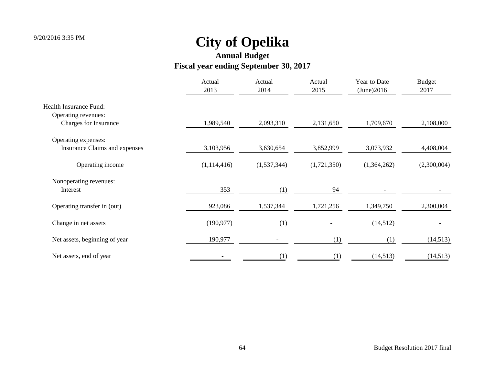|                               | Actual<br>2013 | Actual<br>2014 | Actual<br>2015 | Year to Date<br>(June)2016 | <b>Budget</b><br>2017 |
|-------------------------------|----------------|----------------|----------------|----------------------------|-----------------------|
| <b>Health Insurance Fund:</b> |                |                |                |                            |                       |
| Operating revenues:           |                |                |                |                            |                       |
| Charges for Insurance         | 1,989,540      | 2,093,310      | 2,131,650      | 1,709,670                  | 2,108,000             |
| Operating expenses:           |                |                |                |                            |                       |
| Insurance Claims and expenses | 3,103,956      | 3,630,654      | 3,852,999      | 3,073,932                  | 4,408,004             |
| Operating income              | (1,114,416)    | (1,537,344)    | (1,721,350)    | (1,364,262)                | (2,300,004)           |
| Nonoperating revenues:        |                |                |                |                            |                       |
| Interest                      | 353            | (1)            | 94             |                            |                       |
| Operating transfer in (out)   | 923,086        | 1,537,344      | 1,721,256      | 1,349,750                  | 2,300,004             |
| Change in net assets          | (190, 977)     | (1)            |                | (14,512)                   |                       |
| Net assets, beginning of year | 190,977        |                | (1)            | (1)                        | (14,513)              |
| Net assets, end of year       |                | (1)            | (1)            | (14,513)                   | (14, 513)             |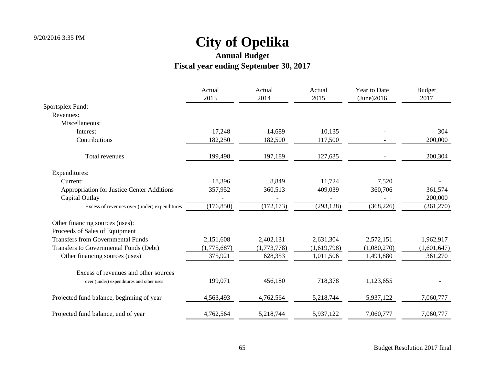|                                              | Actual<br>2013 | Actual<br>2014 | Actual<br>2015 | Year to Date<br>(June)2016 | <b>Budget</b><br>2017 |
|----------------------------------------------|----------------|----------------|----------------|----------------------------|-----------------------|
| Sportsplex Fund:                             |                |                |                |                            |                       |
| Revenues:                                    |                |                |                |                            |                       |
| Miscellaneous:                               |                |                |                |                            |                       |
| Interest                                     | 17,248         | 14,689         | 10,135         |                            | 304                   |
| Contributions                                | 182,250        | 182,500        | 117,500        |                            | 200,000               |
| Total revenues                               | 199,498        | 197,189        | 127,635        |                            | 200,304               |
| Expenditures:                                |                |                |                |                            |                       |
| Current:                                     | 18,396         | 8,849          | 11,724         | 7,520                      |                       |
| Appropriation for Justice Center Additions   | 357,952        | 360,513        | 409,039        | 360,706                    | 361,574               |
| Capital Outlay                               |                |                |                |                            | 200,000               |
| Excess of revenues over (under) expenditures | (176, 850)     | (172, 173)     | (293, 128)     | (368, 226)                 | (361,270)             |
| Other financing sources (uses):              |                |                |                |                            |                       |
| Proceeds of Sales of Equipment               |                |                |                |                            |                       |
| <b>Transfers from Governmental Funds</b>     | 2,151,608      | 2,402,131      | 2,631,304      | 2,572,151                  | 1,962,917             |
| Transfers to Governmental Funds (Debt)       | (1,775,687)    | (1,773,778)    | (1,619,798)    | (1,080,270)                | (1,601,647)           |
| Other financing sources (uses)               | 375,921        | 628,353        | 1,011,506      | 1,491,880                  | 361,270               |
| Excess of revenues and other sources         |                |                |                |                            |                       |
| over (under) expenditures and other uses     | 199,071        | 456,180        | 718,378        | 1,123,655                  |                       |
| Projected fund balance, beginning of year    | 4,563,493      | 4,762,564      | 5,218,744      | 5,937,122                  | 7,060,777             |
| Projected fund balance, end of year          | 4,762,564      | 5,218,744      | 5,937,122      | 7,060,777                  | 7,060,777             |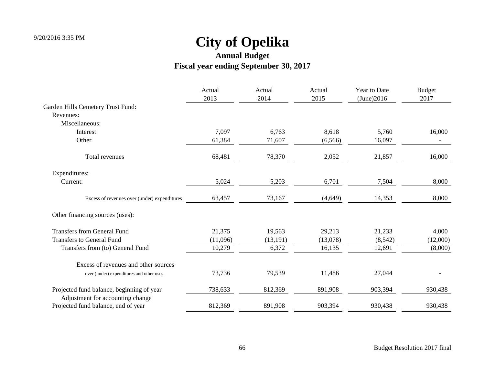|                                                                               | Actual<br>2013 | Actual<br>2014 | Actual<br>2015 | Year to Date<br>(June)2016 | <b>Budget</b><br>2017 |
|-------------------------------------------------------------------------------|----------------|----------------|----------------|----------------------------|-----------------------|
| Garden Hills Cemetery Trust Fund:                                             |                |                |                |                            |                       |
| Revenues:                                                                     |                |                |                |                            |                       |
| Miscellaneous:                                                                |                |                |                |                            |                       |
| Interest                                                                      | 7,097          | 6,763          | 8,618          | 5,760                      | 16,000                |
| Other                                                                         | 61,384         | 71,607         | (6, 566)       | 16,097                     |                       |
| Total revenues                                                                | 68,481         | 78,370         | 2,052          | 21,857                     | 16,000                |
| Expenditures:                                                                 |                |                |                |                            |                       |
| Current:                                                                      | 5,024          | 5,203          | 6,701          | 7,504                      | 8,000                 |
| Excess of revenues over (under) expenditures                                  | 63,457         | 73,167         | (4,649)        | 14,353                     | 8,000                 |
| Other financing sources (uses):                                               |                |                |                |                            |                       |
| <b>Transfers from General Fund</b>                                            | 21,375         | 19,563         | 29,213         | 21,233                     | 4,000                 |
| <b>Transfers to General Fund</b>                                              | (11,096)       | (13, 191)      | (13,078)       | (8,542)                    | (12,000)              |
| Transfers from (to) General Fund                                              | 10,279         | 6,372          | 16,135         | 12,691                     | (8,000)               |
| Excess of revenues and other sources                                          |                |                |                |                            |                       |
| over (under) expenditures and other uses                                      | 73,736         | 79,539         | 11,486         | 27,044                     |                       |
| Projected fund balance, beginning of year<br>Adjustment for accounting change | 738,633        | 812,369        | 891,908        | 903,394                    | 930,438               |
| Projected fund balance, end of year                                           | 812,369        | 891,908        | 903,394        | 930,438                    | 930,438               |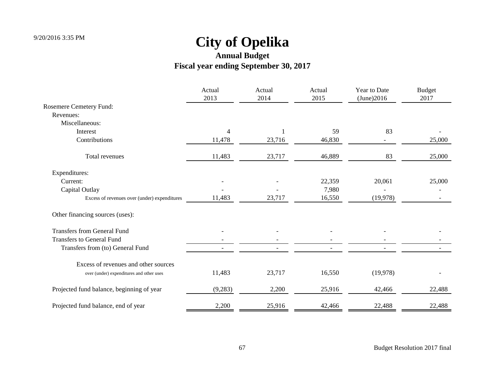|                                              | Actual<br>2013           | Actual<br>2014 | Actual<br>2015 | Year to Date<br>(June)2016 | <b>Budget</b><br>2017 |
|----------------------------------------------|--------------------------|----------------|----------------|----------------------------|-----------------------|
| Rosemere Cemetery Fund:                      |                          |                |                |                            |                       |
| Revenues:                                    |                          |                |                |                            |                       |
| Miscellaneous:                               |                          |                |                |                            |                       |
| Interest                                     | 4                        |                | 59             | 83                         |                       |
| Contributions                                | 11,478                   | 23,716         | 46,830         |                            | 25,000                |
| Total revenues                               | 11,483                   | 23,717         | 46,889         | 83                         | 25,000                |
| Expenditures:                                |                          |                |                |                            |                       |
| Current:                                     |                          |                | 22,359         | 20,061                     | 25,000                |
| Capital Outlay                               |                          |                | 7,980          |                            |                       |
| Excess of revenues over (under) expenditures | 11,483                   | 23,717         | 16,550         | (19,978)                   |                       |
| Other financing sources (uses):              |                          |                |                |                            |                       |
| <b>Transfers from General Fund</b>           |                          |                |                |                            |                       |
| <b>Transfers to General Fund</b>             |                          |                |                |                            |                       |
| Transfers from (to) General Fund             | $\overline{\phantom{a}}$ |                |                |                            |                       |
| Excess of revenues and other sources         |                          |                |                |                            |                       |
| over (under) expenditures and other uses     | 11,483                   | 23,717         | 16,550         | (19,978)                   |                       |
| Projected fund balance, beginning of year    | (9,283)                  | 2,200          | 25,916         | 42,466                     | 22,488                |
| Projected fund balance, end of year          | 2,200                    | 25,916         | 42,466         | 22,488                     | 22,488                |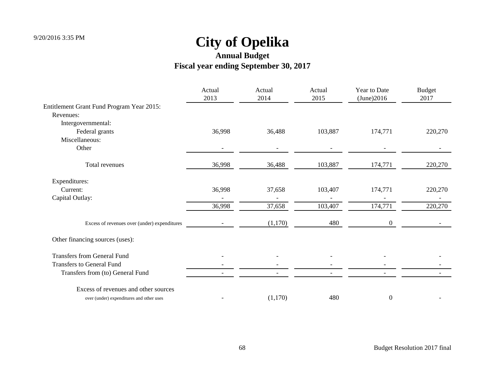|                                              | Actual<br>2013 | Actual<br>2014 | Actual<br>2015 | Year to Date<br>(June)2016 | <b>Budget</b><br>2017 |
|----------------------------------------------|----------------|----------------|----------------|----------------------------|-----------------------|
| Entitlement Grant Fund Program Year 2015:    |                |                |                |                            |                       |
| Revenues:                                    |                |                |                |                            |                       |
| Intergovernmental:                           |                |                |                |                            |                       |
| Federal grants                               | 36,998         | 36,488         | 103,887        | 174,771                    | 220,270               |
| Miscellaneous:                               |                |                |                |                            |                       |
| Other                                        |                |                |                |                            |                       |
| Total revenues                               | 36,998         | 36,488         | 103,887        | 174,771                    | 220,270               |
| Expenditures:                                |                |                |                |                            |                       |
| Current:                                     | 36,998         | 37,658         | 103,407        | 174,771                    | 220,270               |
| Capital Outlay:                              |                |                |                |                            |                       |
|                                              | 36,998         | 37,658         | 103,407        | 174,771                    | 220,270               |
| Excess of revenues over (under) expenditures |                | (1,170)        | 480            | $\Omega$                   |                       |
| Other financing sources (uses):              |                |                |                |                            |                       |
| <b>Transfers from General Fund</b>           |                |                |                |                            |                       |
| <b>Transfers to General Fund</b>             |                |                |                |                            |                       |
| Transfers from (to) General Fund             |                |                |                |                            |                       |
| Excess of revenues and other sources         |                |                |                |                            |                       |
| over (under) expenditures and other uses     |                | (1,170)        | 480            | $\boldsymbol{0}$           |                       |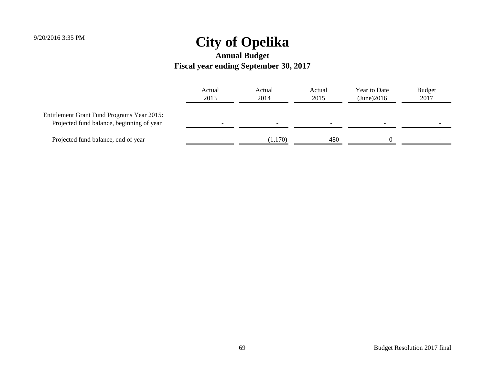|                                                                                         | Actual<br>2013 | Actual<br>2014 | Actual<br>2015 | Year to Date<br>(June)2016 | <b>Budget</b><br>2017 |
|-----------------------------------------------------------------------------------------|----------------|----------------|----------------|----------------------------|-----------------------|
| Entitlement Grant Fund Programs Year 2015:<br>Projected fund balance, beginning of year |                |                |                |                            |                       |
| Projected fund balance, end of year                                                     |                | (1,170)        | 480            |                            |                       |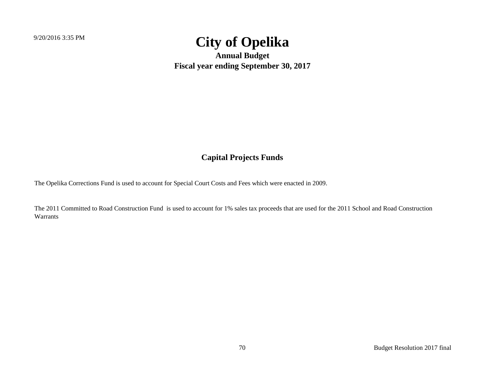**Annual Budget Fiscal year ending September 30, 2017**

#### **Capital Projects Funds**

The Opelika Corrections Fund is used to account for Special Court Costs and Fees which were enacted in 2009.

The 2011 Committed to Road Construction Fund is used to account for 1% sales tax proceeds that are used for the 2011 School and Road Construction Warrants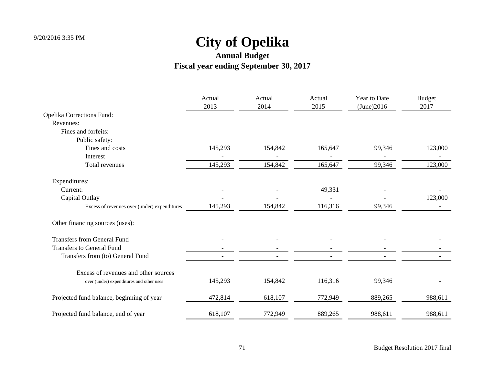|                                              | Actual<br>2013 | Actual<br>2014 | Actual<br>2015 | Year to Date<br>(June)2016 | <b>Budget</b><br>2017 |
|----------------------------------------------|----------------|----------------|----------------|----------------------------|-----------------------|
| <b>Opelika Corrections Fund:</b>             |                |                |                |                            |                       |
| Revenues:                                    |                |                |                |                            |                       |
| Fines and forfeits:                          |                |                |                |                            |                       |
| Public safety:                               |                |                |                |                            |                       |
| Fines and costs                              | 145,293        | 154,842        | 165,647        | 99,346                     | 123,000               |
| Interest                                     |                |                |                |                            |                       |
| Total revenues                               | 145,293        | 154,842        | 165,647        | 99,346                     | 123,000               |
| Expenditures:                                |                |                |                |                            |                       |
| Current:                                     |                |                | 49,331         |                            |                       |
| Capital Outlay                               |                |                |                |                            | 123,000               |
| Excess of revenues over (under) expenditures | 145,293        | 154,842        | 116,316        | 99,346                     |                       |
| Other financing sources (uses):              |                |                |                |                            |                       |
| <b>Transfers from General Fund</b>           |                |                |                |                            |                       |
| <b>Transfers to General Fund</b>             |                |                |                |                            |                       |
| Transfers from (to) General Fund             |                |                |                |                            |                       |
| Excess of revenues and other sources         |                |                |                |                            |                       |
| over (under) expenditures and other uses     | 145,293        | 154,842        | 116,316        | 99,346                     |                       |
| Projected fund balance, beginning of year    | 472,814        | 618,107        | 772,949        | 889,265                    | 988,611               |
| Projected fund balance, end of year          | 618,107        | 772,949        | 889,265        | 988,611                    | 988,611               |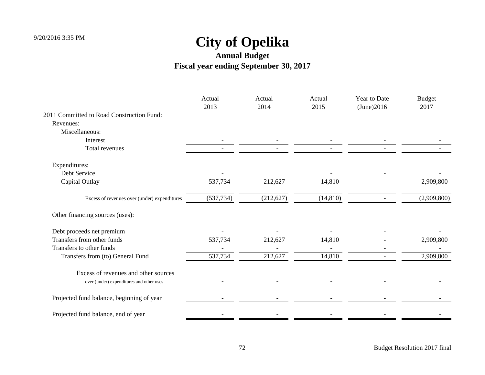|                                              | Actual<br>2013 | Actual<br>2014 | Actual<br>2015 | Year to Date<br>(June)2016 | <b>Budget</b><br>2017 |
|----------------------------------------------|----------------|----------------|----------------|----------------------------|-----------------------|
| 2011 Committed to Road Construction Fund:    |                |                |                |                            |                       |
| Revenues:                                    |                |                |                |                            |                       |
| Miscellaneous:                               |                |                |                |                            |                       |
| Interest                                     |                |                |                |                            |                       |
| Total revenues                               |                |                |                |                            |                       |
| Expenditures:                                |                |                |                |                            |                       |
| Debt Service                                 |                |                |                |                            |                       |
| Capital Outlay                               | 537,734        | 212,627        | 14,810         |                            | 2,909,800             |
| Excess of revenues over (under) expenditures | (537, 734)     | (212, 627)     | (14, 810)      | $\overline{\phantom{0}}$   | (2,909,800)           |
| Other financing sources (uses):              |                |                |                |                            |                       |
| Debt proceeds net premium                    |                |                |                |                            |                       |
| Transfers from other funds                   | 537,734        | 212,627        | 14,810         |                            | 2,909,800             |
| Transfers to other funds                     |                |                |                |                            |                       |
| Transfers from (to) General Fund             | 537,734        | 212,627        | 14,810         |                            | 2,909,800             |
| Excess of revenues and other sources         |                |                |                |                            |                       |
| over (under) expenditures and other uses     |                |                |                |                            |                       |
| Projected fund balance, beginning of year    |                |                |                |                            |                       |
| Projected fund balance, end of year          |                |                |                |                            |                       |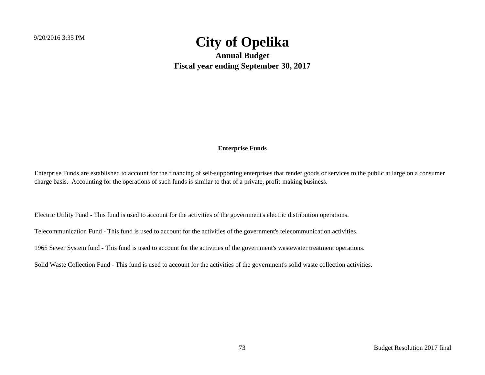**Annual Budget Fiscal year ending September 30, 2017**

#### **Enterprise Funds**

Enterprise Funds are established to account for the financing of self-supporting enterprises that render goods or services to the public at large on a consumer charge basis. Accounting for the operations of such funds is similar to that of a private, profit-making business.

Electric Utility Fund - This fund is used to account for the activities of the government's electric distribution operations.

Telecommunication Fund - This fund is used to account for the activities of the government's telecommunication activities.

1965 Sewer System fund - This fund is used to account for the activities of the government's wastewater treatment operations.

Solid Waste Collection Fund - This fund is used to account for the activities of the government's solid waste collection activities.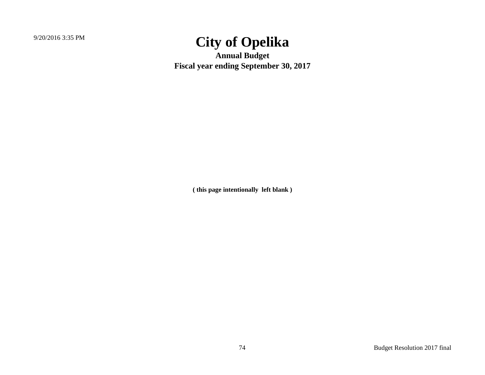**Annual Budget Fiscal year ending September 30, 2017**

**( this page intentionally left blank )**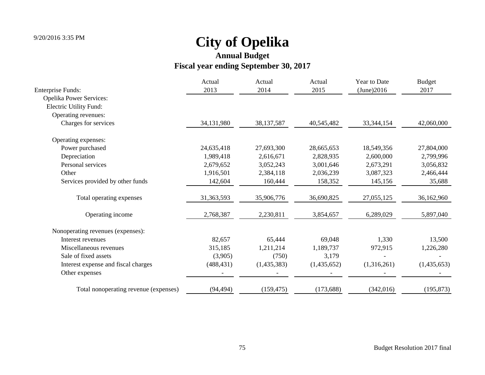| <b>Enterprise Funds:</b>              | Actual<br>2013 | Actual<br>2014 | Actual<br>2015 | Year to Date<br>(June)2016 | <b>Budget</b><br>2017 |
|---------------------------------------|----------------|----------------|----------------|----------------------------|-----------------------|
| <b>Opelika Power Services:</b>        |                |                |                |                            |                       |
| Electric Utility Fund:                |                |                |                |                            |                       |
| Operating revenues:                   |                |                |                |                            |                       |
| Charges for services                  | 34,131,980     | 38, 137, 587   | 40,545,482     | 33, 344, 154               | 42,060,000            |
| Operating expenses:                   |                |                |                |                            |                       |
| Power purchased                       | 24,635,418     | 27,693,300     | 28,665,653     | 18,549,356                 | 27,804,000            |
| Depreciation                          | 1,989,418      | 2,616,671      | 2,828,935      | 2,600,000                  | 2,799,996             |
| Personal services                     | 2,679,652      | 3,052,243      | 3,001,646      | 2,673,291                  | 3,056,832             |
| Other                                 | 1,916,501      | 2,384,118      | 2,036,239      | 3,087,323                  | 2,466,444             |
| Services provided by other funds      | 142,604        | 160,444        | 158,352        | 145,156                    | 35,688                |
| Total operating expenses              | 31,363,593     | 35,906,776     | 36,690,825     | 27,055,125                 | 36,162,960            |
| Operating income                      | 2,768,387      | 2,230,811      | 3,854,657      | 6,289,029                  | 5,897,040             |
| Nonoperating revenues (expenses):     |                |                |                |                            |                       |
| Interest revenues                     | 82,657         | 65,444         | 69,048         | 1,330                      | 13,500                |
| Miscellaneous revenues                | 315,185        | 1,211,214      | 1,189,737      | 972,915                    | 1,226,280             |
| Sale of fixed assets                  | (3,905)        | (750)          | 3,179          |                            |                       |
| Interest expense and fiscal charges   | (488, 431)     | (1,435,383)    | (1,435,652)    | (1,316,261)                | (1,435,653)           |
| Other expenses                        |                |                |                |                            |                       |
| Total nonoperating revenue (expenses) | (94, 494)      | (159, 475)     | (173, 688)     | (342,016)                  | (195, 873)            |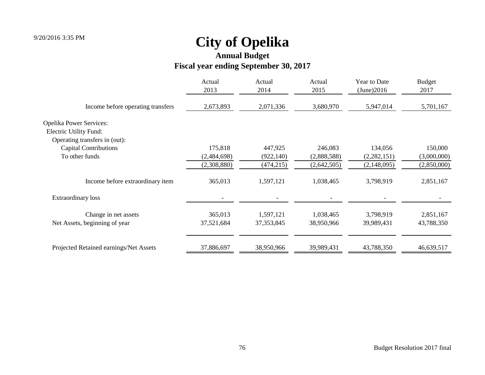**Annual Budget**

### **Fiscal year ending September 30, 2017**

| Actual<br>2013 | Actual<br>2014 | Actual<br>2015 | Year to Date<br>(June)2016 | <b>Budget</b><br>2017 |
|----------------|----------------|----------------|----------------------------|-----------------------|
| 2,673,893      | 2,071,336      | 3,680,970      | 5,947,014                  | 5,701,167             |
|                |                |                |                            |                       |
|                |                |                |                            |                       |
|                |                |                |                            |                       |
| 175,818        | 447,925        | 246,083        | 134,056                    | 150,000               |
| (2,484,698)    | (922, 140)     | (2,888,588)    | (2,282,151)                | (3,000,000)           |
| (2,308,880)    | (474, 215)     | (2,642,505)    | (2,148,095)                | (2,850,000)           |
| 365,013        | 1,597,121      | 1,038,465      | 3,798,919                  | 2,851,167             |
|                |                |                |                            |                       |
| 365,013        | 1,597,121      | 1,038,465      | 3,798,919                  | 2,851,167             |
| 37,521,684     | 37, 353, 845   | 38,950,966     | 39,989,431                 | 43,788,350            |
| 37,886,697     | 38,950,966     | 39,989,431     | 43,788,350                 | 46,639,517            |
|                |                |                |                            |                       |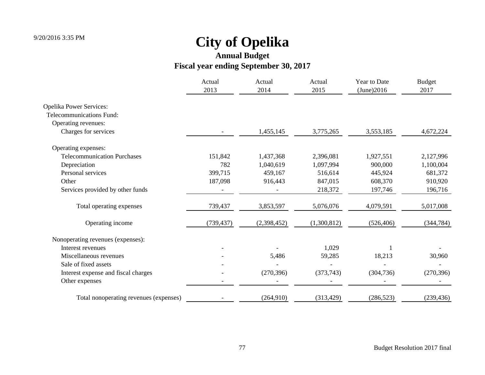|                                        | Actual<br>2013 | Actual<br>2014 | Actual<br>2015 | Year to Date<br>(June)2016 | <b>Budget</b><br>2017 |
|----------------------------------------|----------------|----------------|----------------|----------------------------|-----------------------|
| <b>Opelika Power Services:</b>         |                |                |                |                            |                       |
| Telecommunications Fund:               |                |                |                |                            |                       |
| Operating revenues:                    |                |                |                |                            |                       |
| Charges for services                   |                | 1,455,145      | 3,775,265      | 3,553,185                  | 4,672,224             |
| Operating expenses:                    |                |                |                |                            |                       |
| <b>Telecommunication Purchases</b>     | 151,842        | 1,437,368      | 2,396,081      | 1,927,551                  | 2,127,996             |
| Depreciation                           | 782            | 1,040,619      | 1,097,994      | 900,000                    | 1,100,004             |
| Personal services                      | 399,715        | 459,167        | 516,614        | 445,924                    | 681,372               |
| Other                                  | 187,098        | 916,443        | 847,015        | 608,370                    | 910,920               |
| Services provided by other funds       |                |                | 218,372        | 197,746                    | 196,716               |
| Total operating expenses               | 739,437        | 3,853,597      | 5,076,076      | 4,079,591                  | 5,017,008             |
| Operating income                       | (739, 437)     | (2,398,452)    | (1,300,812)    | (526, 406)                 | (344, 784)            |
| Nonoperating revenues (expenses):      |                |                |                |                            |                       |
| Interest revenues                      |                |                | 1,029          |                            |                       |
| Miscellaneous revenues                 |                | 5,486          | 59,285         | 18,213                     | 30,960                |
| Sale of fixed assets                   |                |                |                |                            |                       |
| Interest expense and fiscal charges    |                | (270, 396)     | (373, 743)     | (304, 736)                 | (270, 396)            |
| Other expenses                         |                |                |                |                            |                       |
| Total nonoperating revenues (expenses) |                | (264,910)      | (313, 429)     | (286, 523)                 | (239, 436)            |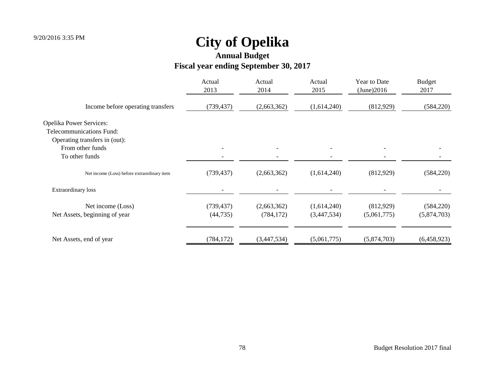**Annual Budget**

### **Fiscal year ending September 30, 2017**

| Actual<br>2013 | Actual<br>2014           | Actual<br>2015             | Year to Date<br>(June)2016 | <b>Budget</b><br>2017    |
|----------------|--------------------------|----------------------------|----------------------------|--------------------------|
| (739, 437)     | (2,663,362)              | (1,614,240)                | (812,929)                  | (584, 220)               |
|                |                          |                            |                            |                          |
|                |                          |                            |                            |                          |
|                |                          |                            |                            |                          |
|                |                          |                            |                            |                          |
|                |                          |                            |                            |                          |
| (739, 437)     | (2,663,362)              | (1,614,240)                | (812,929)                  | (584, 220)               |
|                |                          |                            |                            |                          |
|                |                          |                            |                            | (584, 220)               |
| (44, 735)      | (784, 172)               | (3,447,534)                | (5,061,775)                | (5,874,703)              |
|                |                          |                            |                            | (6,458,923)              |
|                | (739, 437)<br>(784, 172) | (2,663,362)<br>(3,447,534) | (1,614,240)<br>(5,061,775) | (812,929)<br>(5,874,703) |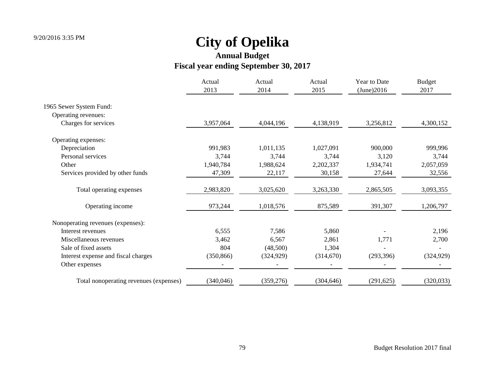|                                        | Actual<br>2013 | Actual<br>2014 | Actual<br>2015 | Year to Date<br>(June)2016 | <b>Budget</b><br>2017 |
|----------------------------------------|----------------|----------------|----------------|----------------------------|-----------------------|
| 1965 Sewer System Fund:                |                |                |                |                            |                       |
| Operating revenues:                    |                |                |                |                            |                       |
| Charges for services                   | 3,957,064      | 4,044,196      | 4,138,919      | 3,256,812                  | 4,300,152             |
| Operating expenses:                    |                |                |                |                            |                       |
| Depreciation                           | 991,983        | 1,011,135      | 1,027,091      | 900,000                    | 999,996               |
| Personal services                      | 3,744          | 3,744          | 3,744          | 3,120                      | 3,744                 |
| Other                                  | 1,940,784      | 1,988,624      | 2,202,337      | 1,934,741                  | 2,057,059             |
| Services provided by other funds       | 47,309         | 22,117         | 30,158         | 27,644                     | 32,556                |
| Total operating expenses               | 2,983,820      | 3,025,620      | 3,263,330      | 2,865,505                  | 3,093,355             |
| Operating income                       | 973,244        | 1,018,576      | 875,589        | 391,307                    | 1,206,797             |
| Nonoperating revenues (expenses):      |                |                |                |                            |                       |
| Interest revenues                      | 6,555          | 7,586          | 5,860          |                            | 2,196                 |
| Miscellaneous revenues                 | 3,462          | 6,567          | 2,861          | 1,771                      | 2,700                 |
| Sale of fixed assets                   | 804            | (48,500)       | 1,304          |                            |                       |
| Interest expense and fiscal charges    | (350, 866)     | (324, 929)     | (314,670)      | (293, 396)                 | (324, 929)            |
| Other expenses                         |                |                |                |                            |                       |
| Total nonoperating revenues (expenses) | (340, 046)     | (359, 276)     | (304, 646)     | (291, 625)                 | (320,033)             |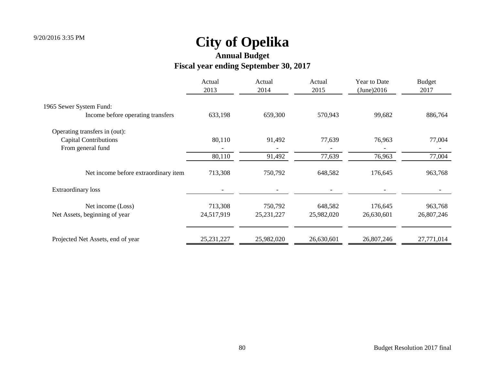### **Annual Budget**

### **Fiscal year ending September 30, 2017**

|                                      | Actual<br>2013 | Actual<br>2014 | Actual<br>2015 | Year to Date<br>(June)2016 | <b>Budget</b><br>2017 |
|--------------------------------------|----------------|----------------|----------------|----------------------------|-----------------------|
| 1965 Sewer System Fund:              |                |                |                |                            |                       |
| Income before operating transfers    | 633,198        | 659,300        | 570,943        | 99,682                     | 886,764               |
| Operating transfers in (out):        |                |                |                |                            |                       |
| <b>Capital Contributions</b>         | 80,110         | 91,492         | 77,639         | 76,963                     | 77,004                |
| From general fund                    |                |                |                |                            |                       |
|                                      | 80,110         | 91,492         | 77,639         | 76,963                     | 77,004                |
| Net income before extraordinary item | 713,308        | 750,792        | 648,582        | 176,645                    | 963,768               |
| <b>Extraordinary loss</b>            |                |                |                |                            |                       |
| Net income (Loss)                    | 713,308        | 750,792        | 648,582        | 176,645                    | 963,768               |
| Net Assets, beginning of year        | 24,517,919     | 25, 231, 227   | 25,982,020     | 26,630,601                 | 26,807,246            |
| Projected Net Assets, end of year    | 25, 231, 227   | 25,982,020     | 26,630,601     | 26,807,246                 | 27,771,014            |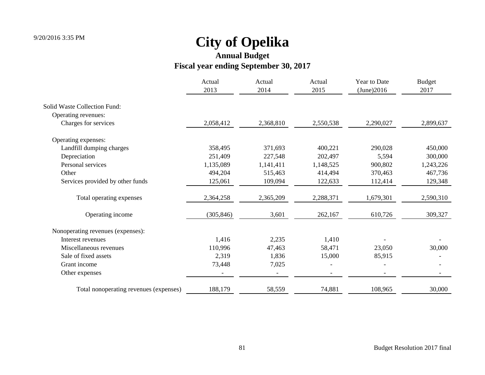|                                        | Actual<br>2013 | Actual<br>2014 | Actual<br>2015 | Year to Date<br>(June)2016 | <b>Budget</b><br>2017 |
|----------------------------------------|----------------|----------------|----------------|----------------------------|-----------------------|
| <b>Solid Waste Collection Fund:</b>    |                |                |                |                            |                       |
| Operating revenues:                    |                |                |                |                            |                       |
| Charges for services                   | 2,058,412      | 2,368,810      | 2,550,538      | 2,290,027                  | 2,899,637             |
| Operating expenses:                    |                |                |                |                            |                       |
| Landfill dumping charges               | 358,495        | 371,693        | 400,221        | 290,028                    | 450,000               |
| Depreciation                           | 251,409        | 227,548        | 202,497        | 5,594                      | 300,000               |
| Personal services                      | 1,135,089      | 1,141,411      | 1,148,525      | 900,802                    | 1,243,226             |
| Other                                  | 494,204        | 515,463        | 414,494        | 370,463                    | 467,736               |
| Services provided by other funds       | 125,061        | 109,094        | 122,633        | 112,414                    | 129,348               |
| Total operating expenses               | 2,364,258      | 2,365,209      | 2,288,371      | 1,679,301                  | 2,590,310             |
| Operating income                       | (305, 846)     | 3,601          | 262,167        | 610,726                    | 309,327               |
| Nonoperating revenues (expenses):      |                |                |                |                            |                       |
| Interest revenues                      | 1,416          | 2,235          | 1,410          |                            |                       |
| Miscellaneous revenues                 | 110,996        | 47,463         | 58,471         | 23,050                     | 30,000                |
| Sale of fixed assets                   | 2,319          | 1,836          | 15,000         | 85,915                     |                       |
| Grant income                           | 73,448         | 7,025          |                |                            |                       |
| Other expenses                         |                |                |                |                            |                       |
| Total nonoperating revenues (expenses) | 188,179        | 58,559         | 74,881         | 108,965                    | 30,000                |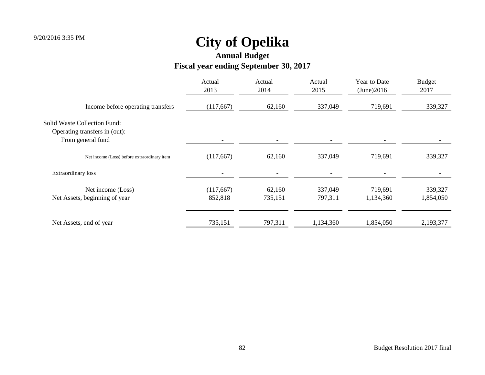**Annual Budget**

### **Fiscal year ending September 30, 2017**

|                                                                                           | Actual<br>2013       | Actual<br>2014    | Actual<br>2015     | Year to Date<br>(June)2016 | <b>Budget</b><br>2017 |
|-------------------------------------------------------------------------------------------|----------------------|-------------------|--------------------|----------------------------|-----------------------|
| Income before operating transfers                                                         | (117,667)            | 62,160            | 337,049            | 719,691                    | 339,327               |
| <b>Solid Waste Collection Fund:</b><br>Operating transfers in (out):<br>From general fund |                      |                   |                    |                            |                       |
| Net income (Loss) before extraordinary item                                               | (117,667)            | 62,160            | 337,049            | 719,691                    | 339,327               |
| <b>Extraordinary</b> loss                                                                 |                      |                   |                    |                            |                       |
| Net income (Loss)<br>Net Assets, beginning of year                                        | (117,667)<br>852,818 | 62,160<br>735,151 | 337,049<br>797,311 | 719,691<br>1,134,360       | 339,327<br>1,854,050  |
| Net Assets, end of year                                                                   | 735,151              | 797,311           | 1,134,360          | 1,854,050                  | 2,193,377             |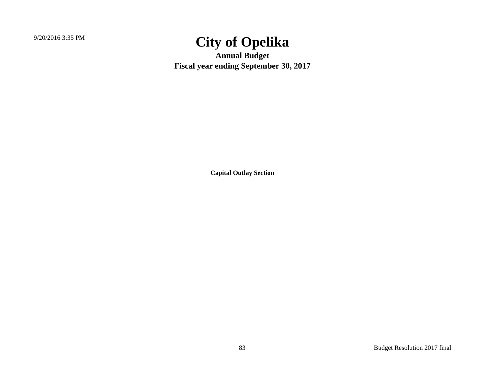**Annual Budget Fiscal year ending September 30, 2017**

**Capital Outlay Section**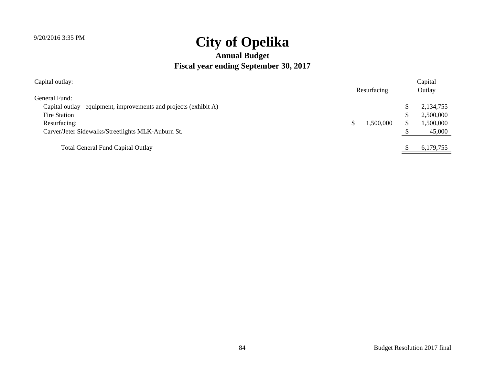| Capital outlay:                                                   |  |             | Capital |           |  |
|-------------------------------------------------------------------|--|-------------|---------|-----------|--|
|                                                                   |  | Resurfacing |         | Outlay    |  |
| General Fund:                                                     |  |             |         |           |  |
| Capital outlay - equipment, improvements and projects (exhibit A) |  |             |         | 2,134,755 |  |
| Fire Station                                                      |  |             | \$      | 2,500,000 |  |
| Resurfacing:                                                      |  | 1,500,000   | \$.     | 1,500,000 |  |
| Carver/Jeter Sidewalks/Streetlights MLK-Auburn St.                |  |             |         | 45,000    |  |
| <b>Total General Fund Capital Outlay</b>                          |  |             |         | 6,179,755 |  |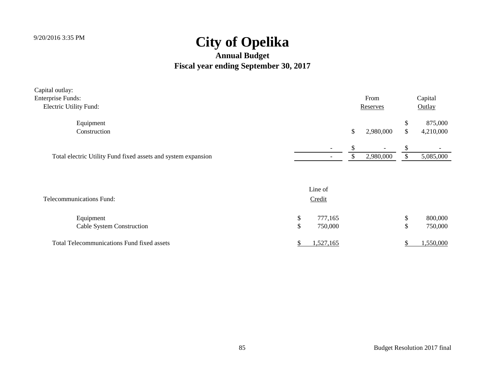| Capital outlay:                                               |                          |   |                          |               |           |
|---------------------------------------------------------------|--------------------------|---|--------------------------|---------------|-----------|
| <b>Enterprise Funds:</b>                                      |                          |   | From                     |               | Capital   |
| Electric Utility Fund:                                        |                          |   | Reserves                 |               | Outlay    |
| Equipment                                                     |                          |   |                          |               | 875,000   |
| Construction                                                  |                          | S | 2,980,000                | <sup>\$</sup> | 4,210,000 |
|                                                               | $\overline{\phantom{0}}$ |   | $\overline{\phantom{0}}$ |               |           |
| Total electric Utility Fund fixed assets and system expansion |                          |   | 2,980,000                |               | 5,085,000 |

| <b>Telecommunications Fund:</b>                   | Line of<br>Credit  |  |                    |
|---------------------------------------------------|--------------------|--|--------------------|
| Equipment<br><b>Cable System Construction</b>     | 777,165<br>750,000 |  | 800,000<br>750,000 |
| <b>Total Telecommunications Fund fixed assets</b> | 1,527,165          |  | 1,550,000          |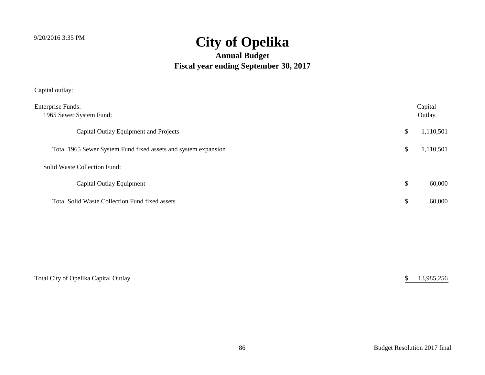#### **Annual Budget Fiscal year ending September 30, 2017**

Capital outlay:

| <b>Enterprise Funds:</b><br>1965 Sewer System Fund:            | Capital<br>Outlay |
|----------------------------------------------------------------|-------------------|
| Capital Outlay Equipment and Projects                          | \$<br>1,110,501   |
| Total 1965 Sewer System Fund fixed assets and system expansion | 1,110,501         |
| Solid Waste Collection Fund:                                   |                   |
| Capital Outlay Equipment                                       | \$<br>60,000      |
| Total Solid Waste Collection Fund fixed assets                 | 60,000            |

| Total City of Opelika Capital Outlay | 13,985,256 |
|--------------------------------------|------------|
|                                      |            |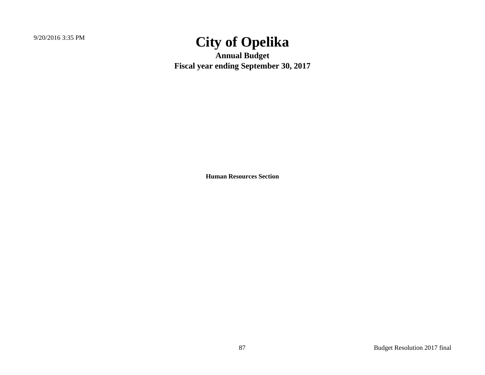**Annual Budget Fiscal year ending September 30, 2017**

**Human Resources Section**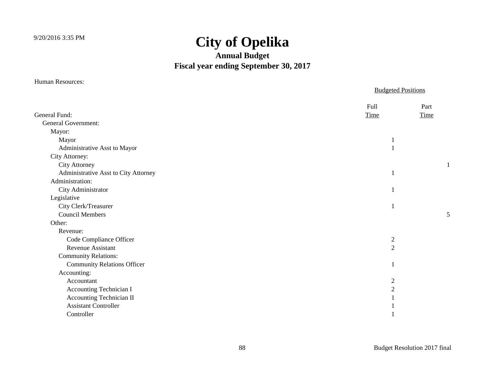#### **Annual Budget Fiscal year ending September 30, 2017**

|                                      | <b>Budgeted Positions</b> |      |
|--------------------------------------|---------------------------|------|
|                                      | Full                      | Part |
| General Fund:                        | Time                      | Time |
| <b>General Government:</b>           |                           |      |
| Mayor:                               |                           |      |
| Mayor                                |                           |      |
| Administrative Asst to Mayor         |                           |      |
| City Attorney:                       |                           |      |
| <b>City Attorney</b>                 |                           |      |
| Administrative Asst to City Attorney | 1                         |      |
| Administration:                      |                           |      |
| City Administrator                   |                           |      |
| Legislative                          |                           |      |
| City Clerk/Treasurer                 |                           |      |
| <b>Council Members</b>               |                           | 5    |
| Other:                               |                           |      |
| Revenue:                             |                           |      |
| Code Compliance Officer              | $\sqrt{2}$                |      |
| <b>Revenue Assistant</b>             | $\overline{2}$            |      |
| <b>Community Relations:</b>          |                           |      |
| <b>Community Relations Officer</b>   |                           |      |
| Accounting:                          |                           |      |
| Accountant                           | $\overline{2}$            |      |
| Accounting Technician I              | $\overline{c}$            |      |
| Accounting Technician II             |                           |      |
| <b>Assistant Controller</b>          |                           |      |
| Controller                           |                           |      |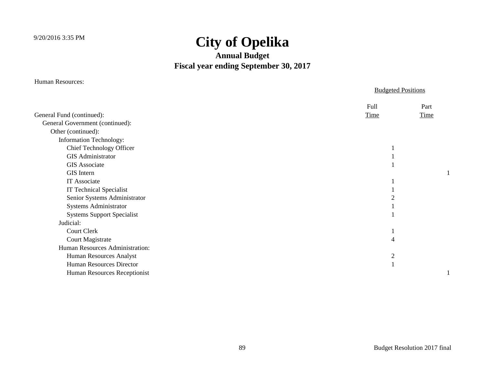#### **Annual Budget Fiscal year ending September 30, 2017**

Human Resources:

#### Budgeted Positions Full Part General Fund (continued): Time Time General Government (continued): Other (continued): Information Technology: Chief Technology Officer 1 GIS Administrator 1 GIS Associate 1 GIS Intern 1 IT Associate 1 and 1 and 1 and 1 and 1 and 1 and 1 and 1 and 1 and 1 and 1 and 1 and 1 and 1 and 1 and 1 and 1 and 1 and 1 and 1 and 1 and 1 and 1 and 1 and 1 and 1 and 1 and 1 and 1 and 1 and 1 and 1 and 1 and 1 and 1 and IT Technical Specialist 1 Senior Systems Administrator 2 Systems Administrator 1 Systems Support Specialist 1 Judicial: Court Clerk 1 Court Magistrate 4 Human Resources Administration: Human Resources Analyst 2 Human Resources Director 1 Human Resources Receptionist 1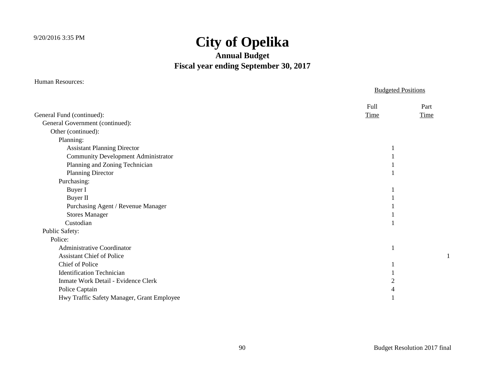#### **Annual Budget Fiscal year ending September 30, 2017**

Human Resources:

#### Budgeted Positions Full Part General Fund (continued): Time Time General Government (continued): Other (continued): Planning: Assistant Planning Director 1 **Community Development Administrator** 1 Planning and Zoning Technician 1 Planning Director 1 Purchasing: Buyer I and the set of the set of the set of the set of the set of the set of the set of the set of the set of the set of the set of the set of the set of the set of the set of the set of the set of the set of the set of t Buyer II and the same state of the state of the state of the state of the state of the state of the state of the state of the state of the state of the state of the state of the state of the state of the state of the state Purchasing Agent / Revenue Manager 1 Stores Manager 1 and 1 and 1 and 1 and 1 and 1 and 1 and 1 and 1 and 1 and 1 and 1 and 1 and 1 and 1 and 1 and 1 and 1 and 1 and 1 and 1 and 1 and 1 and 1 and 1 and 1 and 1 and 1 and 1 and 1 and 1 and 1 and 1 and 1 and 1 a Custodian 1 Public Safety: Police: Administrative Coordinator 1 Assistant Chief of Police 1 Chief of Police 1 **Identification Technician** 1 Inmate Work Detail - Evidence Clerk 2 Police Captain 4 Hwy Traffic Safety Manager, Grant Employee 1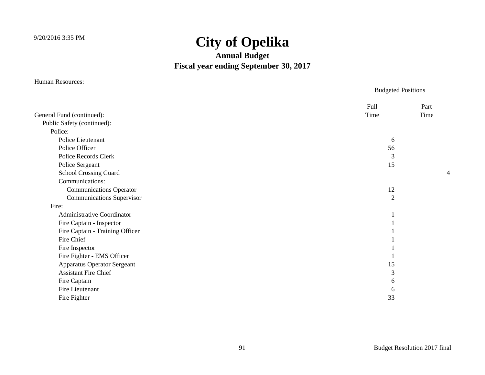#### **Annual Budget Fiscal year ending September 30, 2017**

|                                    |                | <b>Budgeted Positions</b> |  |
|------------------------------------|----------------|---------------------------|--|
|                                    | Full           | Part                      |  |
| General Fund (continued):          | <b>Time</b>    | Time                      |  |
| Public Safety (continued):         |                |                           |  |
| Police:                            |                |                           |  |
| Police Lieutenant                  | 6              |                           |  |
| Police Officer                     | 56             |                           |  |
| Police Records Clerk               | 3              |                           |  |
| Police Sergeant                    | 15             |                           |  |
| School Crossing Guard              |                | 4                         |  |
| Communications:                    |                |                           |  |
| <b>Communications Operator</b>     | 12             |                           |  |
| <b>Communications Supervisor</b>   | $\overline{2}$ |                           |  |
| Fire:                              |                |                           |  |
| <b>Administrative Coordinator</b>  |                |                           |  |
| Fire Captain - Inspector           |                |                           |  |
| Fire Captain - Training Officer    |                |                           |  |
| Fire Chief                         |                |                           |  |
| Fire Inspector                     |                |                           |  |
| Fire Fighter - EMS Officer         |                |                           |  |
| <b>Apparatus Operator Sergeant</b> | 15             |                           |  |
| <b>Assistant Fire Chief</b>        | 3              |                           |  |
| Fire Captain                       | 6              |                           |  |
| Fire Lieutenant                    | 6              |                           |  |
| Fire Fighter                       | 33             |                           |  |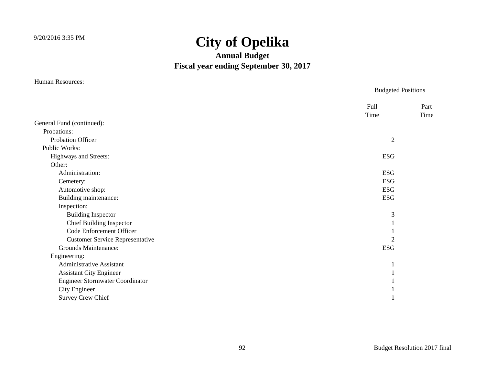#### **Annual Budget Fiscal year ending September 30, 2017**

|                                        | <b>Budgeted Positions</b> |              |
|----------------------------------------|---------------------------|--------------|
|                                        | Full<br><b>Time</b>       | Part<br>Time |
| General Fund (continued):              |                           |              |
| Probations:                            |                           |              |
| Probation Officer                      | $\overline{2}$            |              |
| Public Works:                          |                           |              |
| Highways and Streets:                  | ESG                       |              |
| Other:                                 |                           |              |
| Administration:                        | <b>ESG</b>                |              |
| Cemetery:                              | <b>ESG</b>                |              |
| Automotive shop:                       | <b>ESG</b>                |              |
| Building maintenance:                  | <b>ESG</b>                |              |
| Inspection:                            |                           |              |
| <b>Building Inspector</b>              | 3                         |              |
| <b>Chief Building Inspector</b>        |                           |              |
| Code Enforcement Officer               |                           |              |
| <b>Customer Service Representative</b> | $\overline{2}$            |              |
| <b>Grounds Maintenance:</b>            | <b>ESG</b>                |              |
| Engineering:                           |                           |              |
| <b>Administrative Assistant</b>        |                           |              |
| <b>Assistant City Engineer</b>         |                           |              |
| <b>Engineer Stormwater Coordinator</b> |                           |              |
| City Engineer                          |                           |              |
| <b>Survey Crew Chief</b>               |                           |              |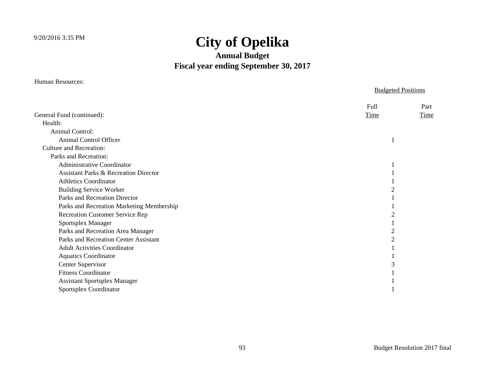#### **Annual Budget Fiscal year ending September 30, 2017**

Human Resources:

#### Budgeted Positions Full Part General Fund (continued): Time Time Health: Animal Control: Animal Control Officer 1 Culture and Recreation: Parks and Recreation: Administrative Coordinator 1 Assistant Parks & Recreation Director 1 Athletics Coordinator 1 Building Service Worker 2 Parks and Recreation Director 1 Parks and Recreation Marketing Membership 1 Recreation Customer Service Rep 2 Sportsplex Manager 1 Parks and Recreation Area Manager 2 Parks and Recreation Center Assistant 2 Adult Activities Coordinator 1 Aquatics Coordinator 1 Center Supervisor 3 Fitness Coordinator 1 Assistant Sportsplex Manager 1 Sportsplex Coordinator 1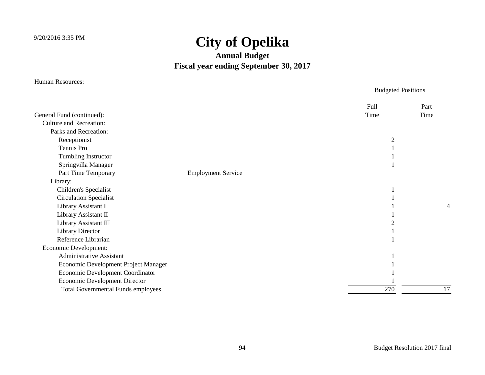#### **Annual Budget Fiscal year ending September 30, 2017**

|                                           |                           | <b>Budgeted Positions</b> |      |
|-------------------------------------------|---------------------------|---------------------------|------|
|                                           |                           | Full                      | Part |
| General Fund (continued):                 |                           | Time                      | Time |
| <b>Culture and Recreation:</b>            |                           |                           |      |
| Parks and Recreation:                     |                           |                           |      |
| Receptionist                              |                           | $\overline{2}$            |      |
| Tennis Pro                                |                           |                           |      |
| Tumbling Instructor                       |                           |                           |      |
| Springvilla Manager                       |                           |                           |      |
| Part Time Temporary                       | <b>Employment Service</b> |                           |      |
| Library:                                  |                           |                           |      |
| Children's Specialist                     |                           |                           |      |
| <b>Circulation Specialist</b>             |                           |                           |      |
| Library Assistant I                       |                           |                           | 4    |
| Library Assistant II                      |                           |                           |      |
| Library Assistant III                     |                           | 2                         |      |
| <b>Library Director</b>                   |                           |                           |      |
| Reference Librarian                       |                           |                           |      |
| Economic Development:                     |                           |                           |      |
| <b>Administrative Assistant</b>           |                           |                           |      |
| Economic Development Project Manager      |                           |                           |      |
| Economic Development Coordinator          |                           |                           |      |
| <b>Economic Development Director</b>      |                           |                           |      |
| <b>Total Governmental Funds employees</b> |                           | 270                       | 17   |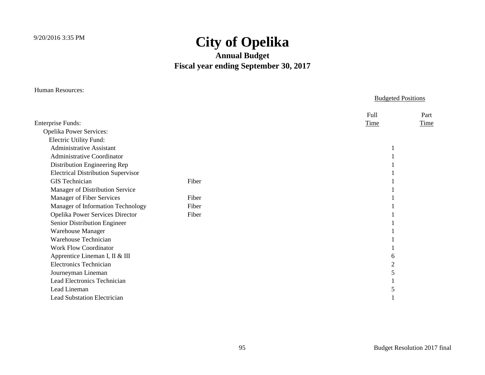#### **Annual Budget Fiscal year ending September 30, 2017**

| <b>Human Resources:</b>                   | <b>Budgeted Positions</b> |                     |
|-------------------------------------------|---------------------------|---------------------|
|                                           |                           | Full<br>Part        |
| <b>Enterprise Funds:</b>                  |                           | <b>Time</b><br>Time |
| <b>Opelika Power Services:</b>            |                           |                     |
| Electric Utility Fund:                    |                           |                     |
| <b>Administrative Assistant</b>           |                           |                     |
| <b>Administrative Coordinator</b>         |                           |                     |
| Distribution Engineering Rep              |                           |                     |
| <b>Electrical Distribution Supervisor</b> |                           |                     |
| <b>GIS</b> Technician                     | Fiber                     |                     |
| Manager of Distribution Service           |                           |                     |
| Manager of Fiber Services                 | Fiber                     |                     |
| Manager of Information Technology         | Fiber                     |                     |
| Opelika Power Services Director           | Fiber                     |                     |
| Senior Distribution Engineer              |                           |                     |
| Warehouse Manager                         |                           |                     |
| <b>Warehouse Technician</b>               |                           |                     |
| <b>Work Flow Coordinator</b>              |                           |                     |
| Apprentice Lineman I, II & III            |                           | 6                   |
| <b>Electronics Technician</b>             |                           | $\overline{2}$      |
| Journeyman Lineman                        |                           |                     |
| Lead Electronics Technician               |                           |                     |
| Lead Lineman                              |                           |                     |
| <b>Lead Substation Electrician</b>        |                           |                     |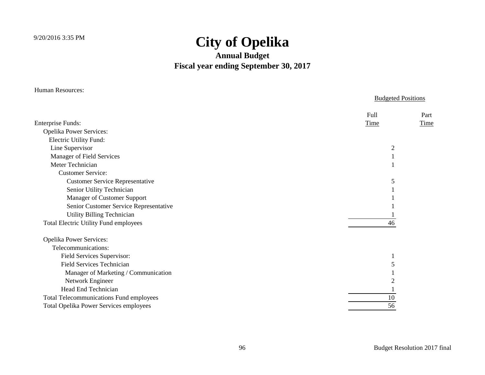| <b>Human Resources:</b>                        | <b>Budgeted Positions</b> |  |  |
|------------------------------------------------|---------------------------|--|--|
|                                                |                           |  |  |
|                                                | Full<br>Part              |  |  |
| <b>Enterprise Funds:</b>                       | Time<br><b>Time</b>       |  |  |
| <b>Opelika Power Services:</b>                 |                           |  |  |
| <b>Electric Utility Fund:</b>                  |                           |  |  |
| Line Supervisor                                | $\overline{2}$            |  |  |
| Manager of Field Services                      |                           |  |  |
| Meter Technician                               |                           |  |  |
| <b>Customer Service:</b>                       |                           |  |  |
| <b>Customer Service Representative</b>         | 5                         |  |  |
| Senior Utility Technician                      |                           |  |  |
| Manager of Customer Support                    |                           |  |  |
| Senior Customer Service Representative         |                           |  |  |
| <b>Utility Billing Technician</b>              |                           |  |  |
| <b>Total Electric Utility Fund employees</b>   | 46                        |  |  |
| Opelika Power Services:                        |                           |  |  |
| Telecommunications:                            |                           |  |  |
| Field Services Supervisor:                     |                           |  |  |
| <b>Field Services Technician</b>               | 5                         |  |  |
| Manager of Marketing / Communication           |                           |  |  |
| Network Engineer                               | 2                         |  |  |
| Head End Technician                            |                           |  |  |
| <b>Total Telecommunications Fund employees</b> | 10                        |  |  |
| Total Opelika Power Services employees         | 56                        |  |  |